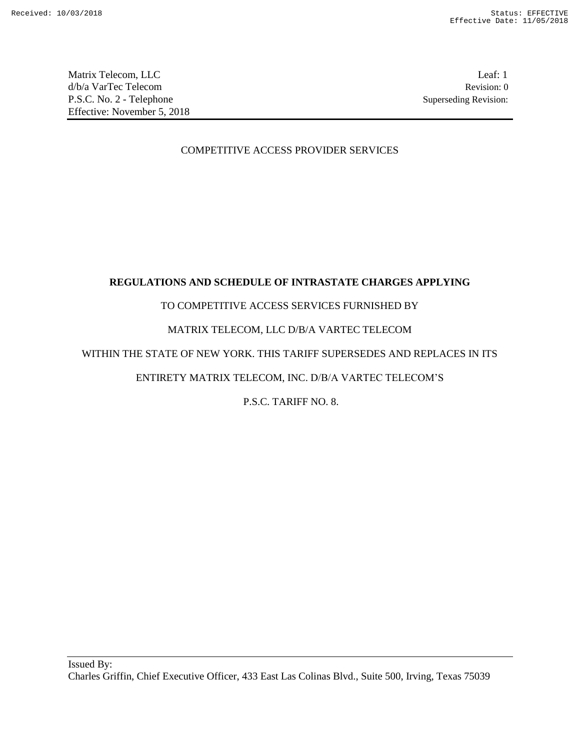Matrix Telecom, LLC Leaf: 1 d/b/a VarTec Telecom Revision: 0 P.S.C. No. 2 - Telephone Superseding Revision: Effective: November 5, 2018

## COMPETITIVE ACCESS PROVIDER SERVICES

# **REGULATIONS AND SCHEDULE OF INTRASTATE CHARGES APPLYING**

## TO COMPETITIVE ACCESS SERVICES FURNISHED BY

## MATRIX TELECOM, LLC D/B/A VARTEC TELECOM

## WITHIN THE STATE OF NEW YORK. THIS TARIFF SUPERSEDES AND REPLACES IN ITS

# ENTIRETY MATRIX TELECOM, INC. D/B/A VARTEC TELECOM'S

P.S.C. TARIFF NO. 8.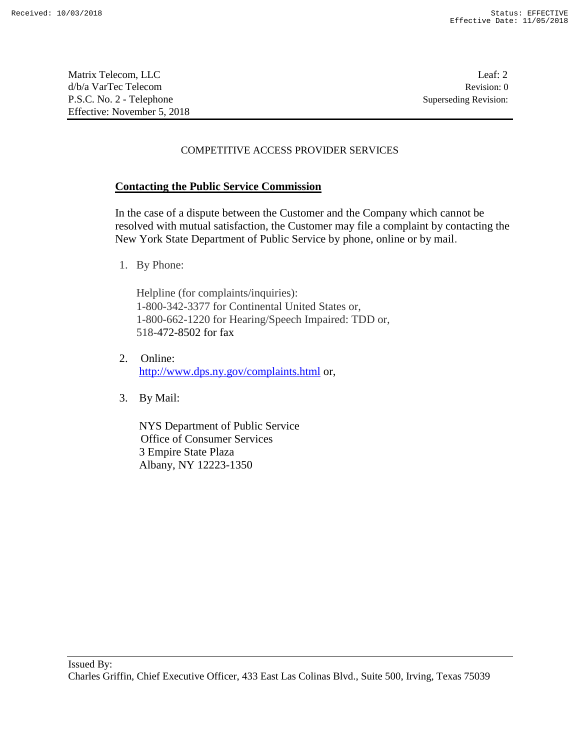Matrix Telecom, LLC Leaf: 2 d/b/a VarTec Telecom Revision: 0 P.S.C. No. 2 - Telephone Superseding Revision: Effective: November 5, 2018

## COMPETITIVE ACCESS PROVIDER SERVICES

## **Contacting the Public Service Commission**

In the case of a dispute between the Customer and the Company which cannot be resolved with mutual satisfaction, the Customer may file a complaint by contacting the New York State Department of Public Service by phone, online or by mail.

1. By Phone:

Helpline (for complaints/inquiries): 1-800-342-3377 for Continental United States or, 1-800-662-1220 for Hearing/Speech Impaired: TDD or, 518-472-8502 for fax

- 2. Online: http://www.dps.ny.gov/complaints.html or,
- 3. By Mail:

NYS Department of Public Service Office of Consumer Services 3 Empire State Plaza Albany, NY 12223-1350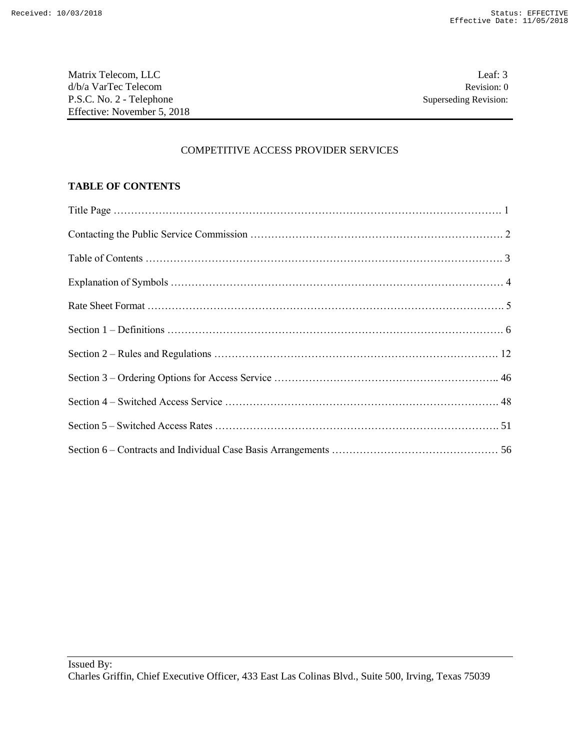Matrix Telecom, LLC Leaf: 3 d/b/a VarTec Telecom Revision: 0 P.S.C. No. 2 - Telephone Superseding Revision: Effective: November 5, 2018

### COMPETITIVE ACCESS PROVIDER SERVICES

## **TABLE OF CONTENTS**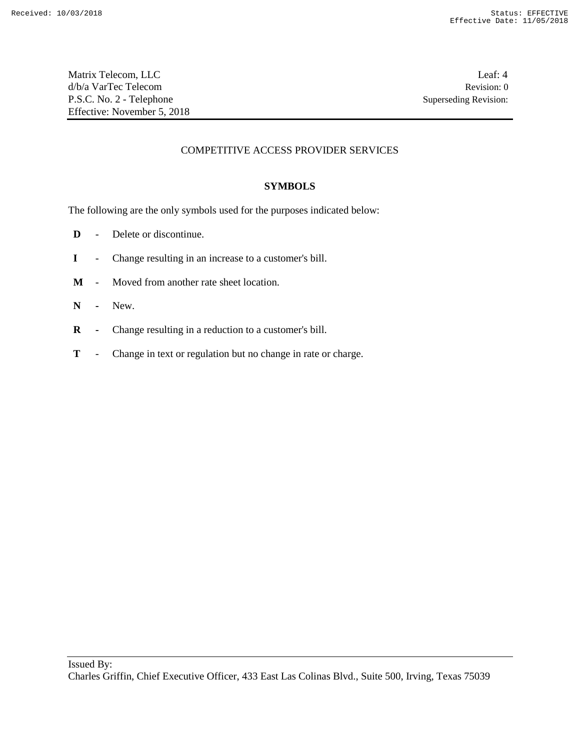Matrix Telecom, LLC Leaf: 4 d/b/a VarTec Telecom Revision: 0 P.S.C. No. 2 - Telephone Superseding Revision: Effective: November 5, 2018

## COMPETITIVE ACCESS PROVIDER SERVICES

### **SYMBOLS**

The following are the only symbols used for the purposes indicated below:

- **D** Delete or discontinue.
- **I** Change resulting in an increase to a customer's bill.
- **M** Moved from another rate sheet location.
- **N -** New.
- **R -** Change resulting in a reduction to a customer's bill.
- **T** Change in text or regulation but no change in rate or charge.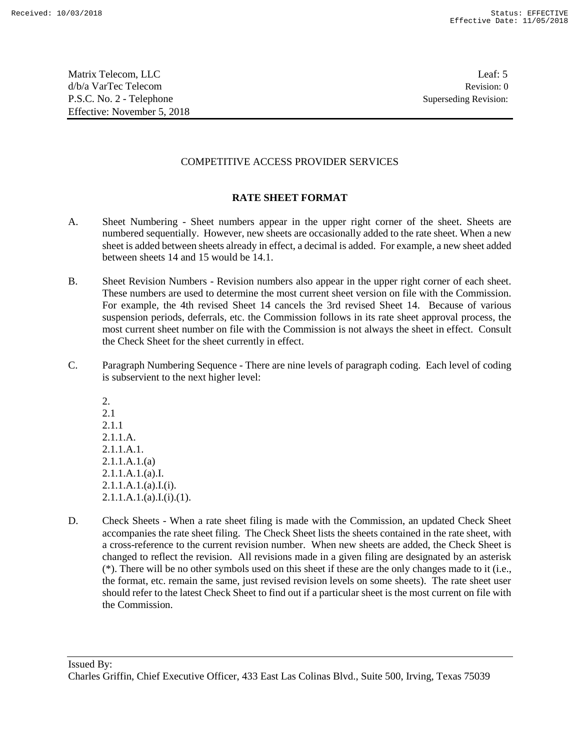Matrix Telecom, LLC Leaf: 5 d/b/a VarTec Telecom Revision: 0 P.S.C. No. 2 - Telephone Superseding Revision: Effective: November 5, 2018

## COMPETITIVE ACCESS PROVIDER SERVICES

## **RATE SHEET FORMAT**

- A. Sheet Numbering Sheet numbers appear in the upper right corner of the sheet. Sheets are numbered sequentially. However, new sheets are occasionally added to the rate sheet. When a new sheet is added between sheets already in effect, a decimal is added. For example, a new sheet added between sheets 14 and 15 would be 14.1.
- B. Sheet Revision Numbers Revision numbers also appear in the upper right corner of each sheet. These numbers are used to determine the most current sheet version on file with the Commission. For example, the 4th revised Sheet 14 cancels the 3rd revised Sheet 14. Because of various suspension periods, deferrals, etc. the Commission follows in its rate sheet approval process, the most current sheet number on file with the Commission is not always the sheet in effect. Consult the Check Sheet for the sheet currently in effect.
- C. Paragraph Numbering Sequence There are nine levels of paragraph coding. Each level of coding is subservient to the next higher level:

2. 2.1 2.1.1 2.1.1.A. 2.1.1.A.1. 2.1.1.A.1.(a) 2.1.1.A.1.(a).I. 2.1.1.A.1.(a).I.(i).  $2.1.1.A.1.(a).I.(i).(1).$ 

D. Check Sheets - When a rate sheet filing is made with the Commission, an updated Check Sheet accompanies the rate sheet filing. The Check Sheet lists the sheets contained in the rate sheet, with a cross-reference to the current revision number. When new sheets are added, the Check Sheet is changed to reflect the revision. All revisions made in a given filing are designated by an asterisk (\*). There will be no other symbols used on this sheet if these are the only changes made to it (i.e., the format, etc. remain the same, just revised revision levels on some sheets). The rate sheet user should refer to the latest Check Sheet to find out if a particular sheet is the most current on file with the Commission.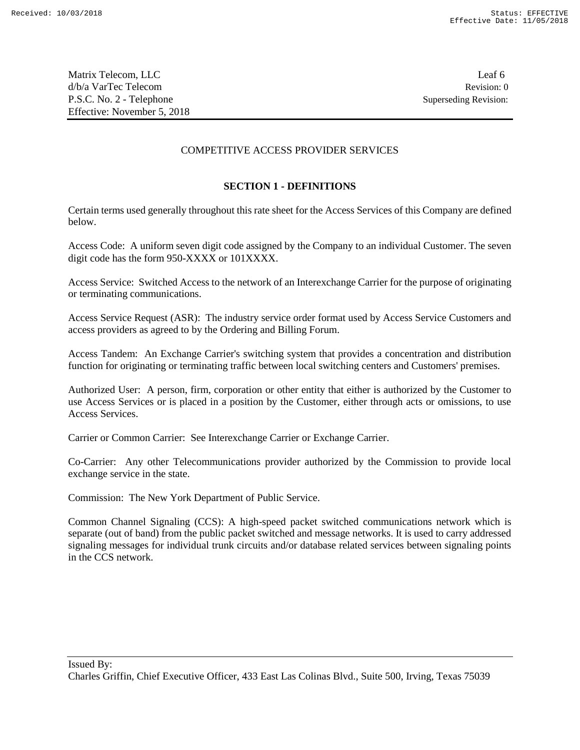Matrix Telecom, LLC Leaf 6 d/b/a VarTec Telecom Revision: 0 P.S.C. No. 2 - Telephone Superseding Revision: Effective: November 5, 2018

### COMPETITIVE ACCESS PROVIDER SERVICES

### **SECTION 1 - DEFINITIONS**

Certain terms used generally throughout this rate sheet for the Access Services of this Company are defined below.

Access Code: A uniform seven digit code assigned by the Company to an individual Customer. The seven digit code has the form 950-XXXX or 101XXXX.

Access Service: Switched Access to the network of an Interexchange Carrier for the purpose of originating or terminating communications.

Access Service Request (ASR): The industry service order format used by Access Service Customers and access providers as agreed to by the Ordering and Billing Forum.

Access Tandem: An Exchange Carrier's switching system that provides a concentration and distribution function for originating or terminating traffic between local switching centers and Customers' premises.

Authorized User: A person, firm, corporation or other entity that either is authorized by the Customer to use Access Services or is placed in a position by the Customer, either through acts or omissions, to use Access Services.

Carrier or Common Carrier: See Interexchange Carrier or Exchange Carrier.

Co-Carrier: Any other Telecommunications provider authorized by the Commission to provide local exchange service in the state.

Commission: The New York Department of Public Service.

Common Channel Signaling (CCS): A high-speed packet switched communications network which is separate (out of band) from the public packet switched and message networks. It is used to carry addressed signaling messages for individual trunk circuits and/or database related services between signaling points in the CCS network.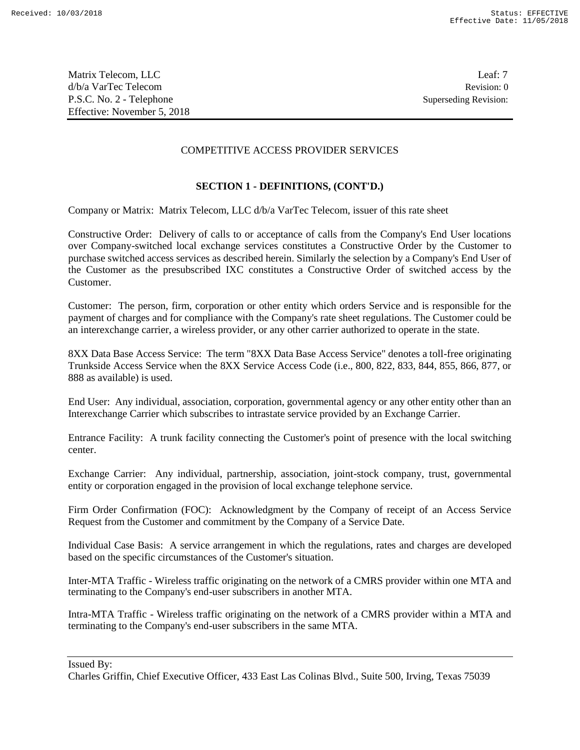Matrix Telecom, LLC Leaf: 7 d/b/a VarTec Telecom Revision: 0 P.S.C. No. 2 - Telephone Superseding Revision: Effective: November 5, 2018

### COMPETITIVE ACCESS PROVIDER SERVICES

### **SECTION 1 - DEFINITIONS, (CONT'D.)**

Company or Matrix: Matrix Telecom, LLC d/b/a VarTec Telecom, issuer of this rate sheet

Constructive Order: Delivery of calls to or acceptance of calls from the Company's End User locations over Company-switched local exchange services constitutes a Constructive Order by the Customer to purchase switched access services as described herein. Similarly the selection by a Company's End User of the Customer as the presubscribed IXC constitutes a Constructive Order of switched access by the Customer.

Customer: The person, firm, corporation or other entity which orders Service and is responsible for the payment of charges and for compliance with the Company's rate sheet regulations. The Customer could be an interexchange carrier, a wireless provider, or any other carrier authorized to operate in the state.

8XX Data Base Access Service: The term "8XX Data Base Access Service" denotes a toll-free originating Trunkside Access Service when the 8XX Service Access Code (i.e., 800, 822, 833, 844, 855, 866, 877, or 888 as available) is used.

End User: Any individual, association, corporation, governmental agency or any other entity other than an Interexchange Carrier which subscribes to intrastate service provided by an Exchange Carrier.

Entrance Facility: A trunk facility connecting the Customer's point of presence with the local switching center.

Exchange Carrier: Any individual, partnership, association, joint-stock company, trust, governmental entity or corporation engaged in the provision of local exchange telephone service.

Firm Order Confirmation (FOC): Acknowledgment by the Company of receipt of an Access Service Request from the Customer and commitment by the Company of a Service Date.

Individual Case Basis: A service arrangement in which the regulations, rates and charges are developed based on the specific circumstances of the Customer's situation.

Inter-MTA Traffic - Wireless traffic originating on the network of a CMRS provider within one MTA and terminating to the Company's end-user subscribers in another MTA.

Intra-MTA Traffic - Wireless traffic originating on the network of a CMRS provider within a MTA and terminating to the Company's end-user subscribers in the same MTA.

Issued By:

Charles Griffin, Chief Executive Officer, 433 East Las Colinas Blvd., Suite 500, Irving, Texas 75039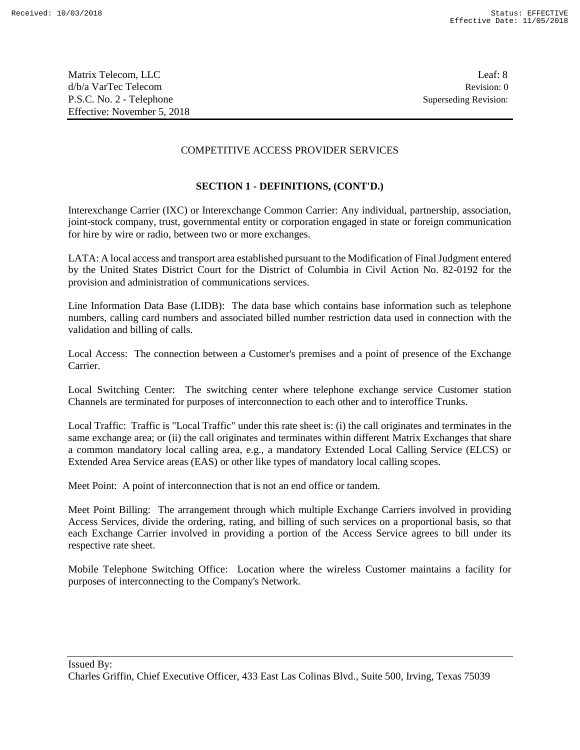Matrix Telecom, LLC Leaf: 8 d/b/a VarTec Telecom Revision: 0 P.S.C. No. 2 - Telephone Superseding Revision: Effective: November 5, 2018

### COMPETITIVE ACCESS PROVIDER SERVICES

## **SECTION 1 - DEFINITIONS, (CONT'D.)**

Interexchange Carrier (IXC) or Interexchange Common Carrier: Any individual, partnership, association, joint-stock company, trust, governmental entity or corporation engaged in state or foreign communication for hire by wire or radio, between two or more exchanges.

LATA: A local access and transport area established pursuant to the Modification of Final Judgment entered by the United States District Court for the District of Columbia in Civil Action No. 82-0192 for the provision and administration of communications services.

Line Information Data Base (LIDB): The data base which contains base information such as telephone numbers, calling card numbers and associated billed number restriction data used in connection with the validation and billing of calls.

Local Access: The connection between a Customer's premises and a point of presence of the Exchange Carrier.

Local Switching Center: The switching center where telephone exchange service Customer station Channels are terminated for purposes of interconnection to each other and to interoffice Trunks.

Local Traffic: Traffic is "Local Traffic" under this rate sheet is: (i) the call originates and terminates in the same exchange area; or (ii) the call originates and terminates within different Matrix Exchanges that share a common mandatory local calling area, e.g., a mandatory Extended Local Calling Service (ELCS) or Extended Area Service areas (EAS) or other like types of mandatory local calling scopes.

Meet Point: A point of interconnection that is not an end office or tandem.

Meet Point Billing: The arrangement through which multiple Exchange Carriers involved in providing Access Services, divide the ordering, rating, and billing of such services on a proportional basis, so that each Exchange Carrier involved in providing a portion of the Access Service agrees to bill under its respective rate sheet.

Mobile Telephone Switching Office: Location where the wireless Customer maintains a facility for purposes of interconnecting to the Company's Network.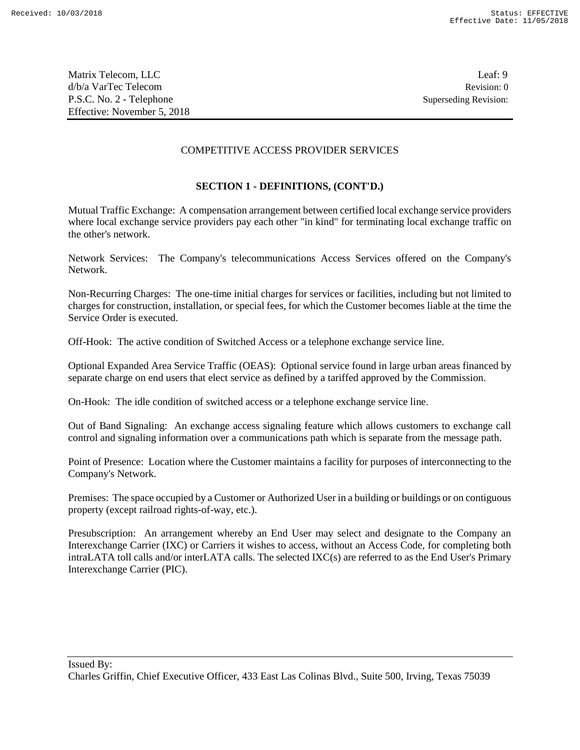Matrix Telecom, LLC Leaf: 9 d/b/a VarTec Telecom Revision: 0 P.S.C. No. 2 - Telephone Superseding Revision: Effective: November 5, 2018

### COMPETITIVE ACCESS PROVIDER SERVICES

## **SECTION 1 - DEFINITIONS, (CONT'D.)**

Mutual Traffic Exchange: A compensation arrangement between certified local exchange service providers where local exchange service providers pay each other "in kind" for terminating local exchange traffic on the other's network.

Network Services: The Company's telecommunications Access Services offered on the Company's Network.

Non-Recurring Charges: The one-time initial charges for services or facilities, including but not limited to charges for construction, installation, or special fees, for which the Customer becomes liable at the time the Service Order is executed.

Off-Hook: The active condition of Switched Access or a telephone exchange service line.

Optional Expanded Area Service Traffic (OEAS): Optional service found in large urban areas financed by separate charge on end users that elect service as defined by a tariffed approved by the Commission.

On-Hook: The idle condition of switched access or a telephone exchange service line.

Out of Band Signaling: An exchange access signaling feature which allows customers to exchange call control and signaling information over a communications path which is separate from the message path.

Point of Presence: Location where the Customer maintains a facility for purposes of interconnecting to the Company's Network.

Premises: The space occupied by a Customer or Authorized User in a building or buildings or on contiguous property (except railroad rights-of-way, etc.).

Presubscription: An arrangement whereby an End User may select and designate to the Company an Interexchange Carrier (IXC) or Carriers it wishes to access, without an Access Code, for completing both intraLATA toll calls and/or interLATA calls. The selected IXC(s) are referred to as the End User's Primary Interexchange Carrier (PIC).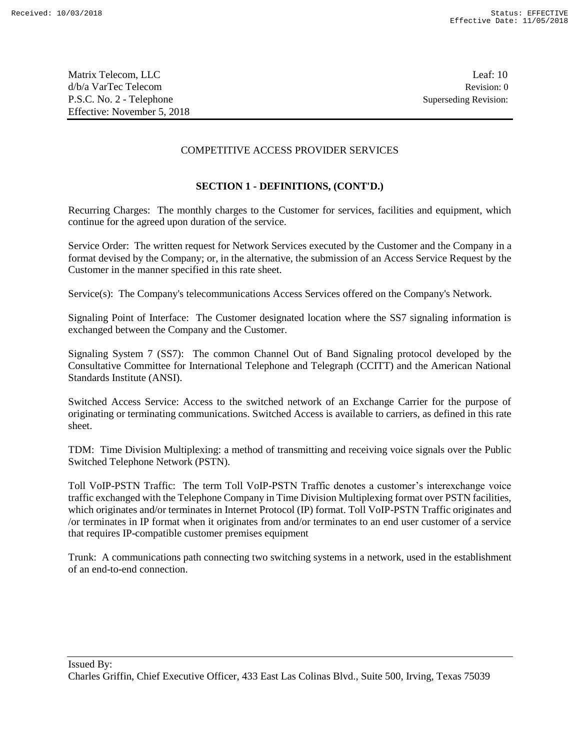Matrix Telecom, LLC Leaf: 10 d/b/a VarTec Telecom Revision: 0 P.S.C. No. 2 - Telephone Superseding Revision: Effective: November 5, 2018

### COMPETITIVE ACCESS PROVIDER SERVICES

## **SECTION 1 - DEFINITIONS, (CONT'D.)**

Recurring Charges: The monthly charges to the Customer for services, facilities and equipment, which continue for the agreed upon duration of the service.

Service Order: The written request for Network Services executed by the Customer and the Company in a format devised by the Company; or, in the alternative, the submission of an Access Service Request by the Customer in the manner specified in this rate sheet.

Service(s): The Company's telecommunications Access Services offered on the Company's Network.

Signaling Point of Interface: The Customer designated location where the SS7 signaling information is exchanged between the Company and the Customer.

Signaling System 7 (SS7): The common Channel Out of Band Signaling protocol developed by the Consultative Committee for International Telephone and Telegraph (CCITT) and the American National Standards Institute (ANSI).

Switched Access Service: Access to the switched network of an Exchange Carrier for the purpose of originating or terminating communications. Switched Access is available to carriers, as defined in this rate sheet.

TDM: Time Division Multiplexing: a method of transmitting and receiving voice signals over the Public Switched Telephone Network (PSTN).

Toll VoIP-PSTN Traffic: The term Toll VoIP-PSTN Traffic denotes a customer's interexchange voice traffic exchanged with the Telephone Company in Time Division Multiplexing format over PSTN facilities, which originates and/or terminates in Internet Protocol (IP) format. Toll VoIP-PSTN Traffic originates and /or terminates in IP format when it originates from and/or terminates to an end user customer of a service that requires IP-compatible customer premises equipment

Trunk: A communications path connecting two switching systems in a network, used in the establishment of an end-to-end connection.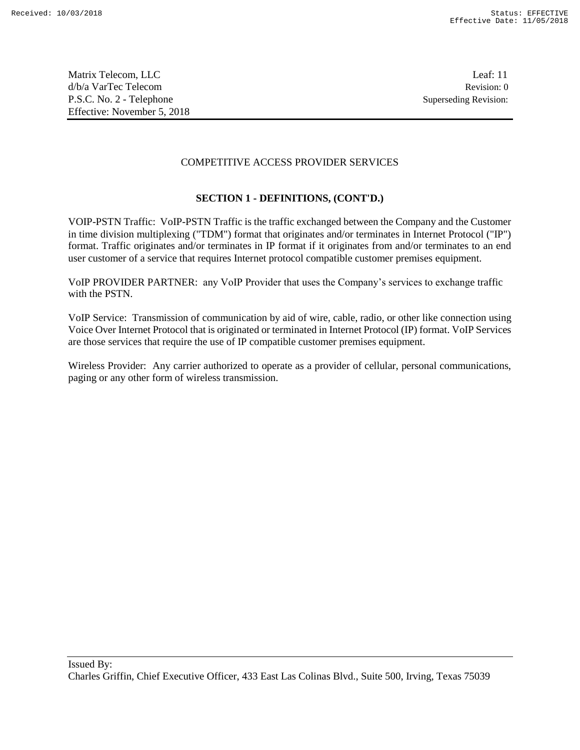## COMPETITIVE ACCESS PROVIDER SERVICES

## **SECTION 1 - DEFINITIONS, (CONT'D.)**

VOIP-PSTN Traffic: VoIP-PSTN Traffic is the traffic exchanged between the Company and the Customer in time division multiplexing ("TDM") format that originates and/or terminates in Internet Protocol ("IP") format. Traffic originates and/or terminates in IP format if it originates from and/or terminates to an end user customer of a service that requires Internet protocol compatible customer premises equipment.

VoIP PROVIDER PARTNER: any VoIP Provider that uses the Company's services to exchange traffic with the PSTN.

VoIP Service: Transmission of communication by aid of wire, cable, radio, or other like connection using Voice Over Internet Protocol that is originated or terminated in Internet Protocol (IP) format. VoIP Services are those services that require the use of IP compatible customer premises equipment.

Wireless Provider: Any carrier authorized to operate as a provider of cellular, personal communications, paging or any other form of wireless transmission.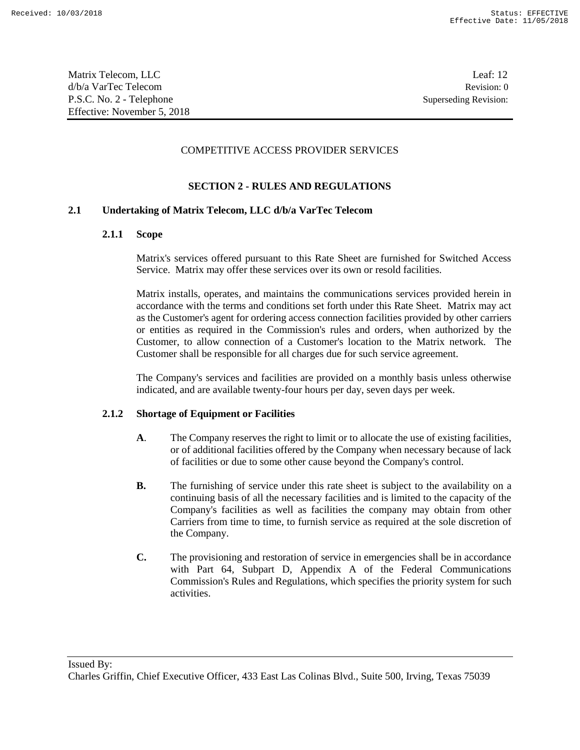Matrix Telecom, LLC Leaf: 12 d/b/a VarTec Telecom Revision: 0 P.S.C. No. 2 - Telephone Superseding Revision: Effective: November 5, 2018

### COMPETITIVE ACCESS PROVIDER SERVICES

## **SECTION 2 - RULES AND REGULATIONS**

### **2.1 Undertaking of Matrix Telecom, LLC d/b/a VarTec Telecom**

#### **2.1.1 Scope**

Matrix's services offered pursuant to this Rate Sheet are furnished for Switched Access Service. Matrix may offer these services over its own or resold facilities.

Matrix installs, operates, and maintains the communications services provided herein in accordance with the terms and conditions set forth under this Rate Sheet. Matrix may act as the Customer's agent for ordering access connection facilities provided by other carriers or entities as required in the Commission's rules and orders, when authorized by the Customer, to allow connection of a Customer's location to the Matrix network. The Customer shall be responsible for all charges due for such service agreement.

The Company's services and facilities are provided on a monthly basis unless otherwise indicated, and are available twenty-four hours per day, seven days per week.

### **2.1.2 Shortage of Equipment or Facilities**

- **A**. The Company reserves the right to limit or to allocate the use of existing facilities, or of additional facilities offered by the Company when necessary because of lack of facilities or due to some other cause beyond the Company's control.
- **B.** The furnishing of service under this rate sheet is subject to the availability on a continuing basis of all the necessary facilities and is limited to the capacity of the Company's facilities as well as facilities the company may obtain from other Carriers from time to time, to furnish service as required at the sole discretion of the Company.
- **C.** The provisioning and restoration of service in emergencies shall be in accordance with Part 64, Subpart D, Appendix A of the Federal Communications Commission's Rules and Regulations, which specifies the priority system for such activities.

Issued By:

Charles Griffin, Chief Executive Officer, 433 East Las Colinas Blvd., Suite 500, Irving, Texas 75039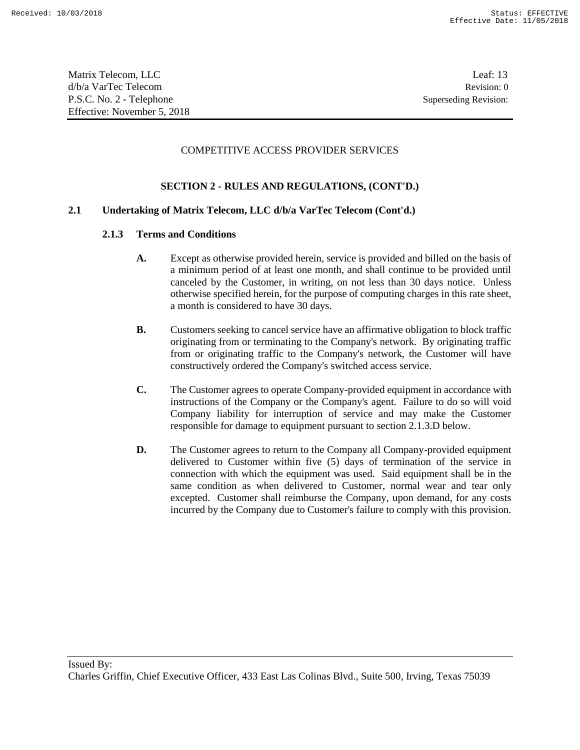Matrix Telecom, LLC Leaf: 13 d/b/a VarTec Telecom Revision: 0 P.S.C. No. 2 - Telephone Superseding Revision: Effective: November 5, 2018

### COMPETITIVE ACCESS PROVIDER SERVICES

### **SECTION 2 - RULES AND REGULATIONS, (CONT'D.)**

### **2.1 Undertaking of Matrix Telecom, LLC d/b/a VarTec Telecom (Cont'd.)**

### **2.1.3 Terms and Conditions**

- **A.** Except as otherwise provided herein, service is provided and billed on the basis of a minimum period of at least one month, and shall continue to be provided until canceled by the Customer, in writing, on not less than 30 days notice. Unless otherwise specified herein, for the purpose of computing charges in this rate sheet, a month is considered to have 30 days.
- **B.** Customers seeking to cancel service have an affirmative obligation to block traffic originating from or terminating to the Company's network. By originating traffic from or originating traffic to the Company's network, the Customer will have constructively ordered the Company's switched access service.
- **C.** The Customer agrees to operate Company-provided equipment in accordance with instructions of the Company or the Company's agent. Failure to do so will void Company liability for interruption of service and may make the Customer responsible for damage to equipment pursuant to section 2.1.3.D below.
- **D.** The Customer agrees to return to the Company all Company-provided equipment delivered to Customer within five (5) days of termination of the service in connection with which the equipment was used. Said equipment shall be in the same condition as when delivered to Customer, normal wear and tear only excepted. Customer shall reimburse the Company, upon demand, for any costs incurred by the Company due to Customer's failure to comply with this provision.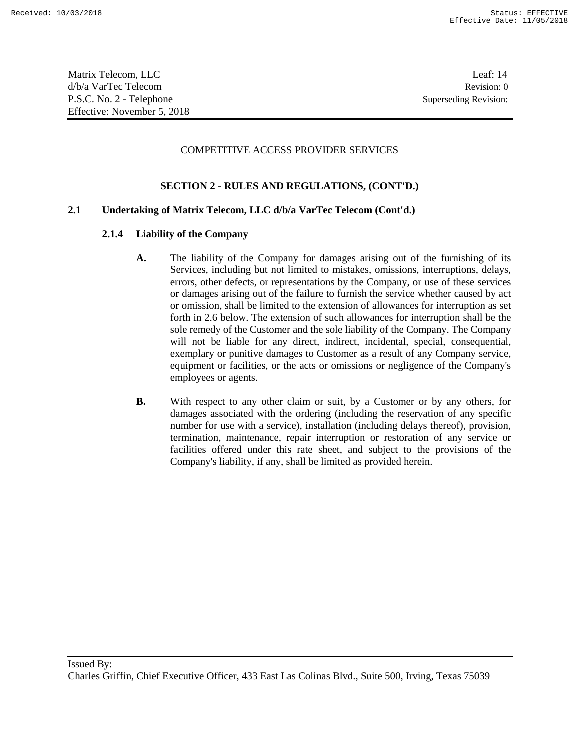Matrix Telecom, LLC Leaf: 14 d/b/a VarTec Telecom Revision: 0 P.S.C. No. 2 - Telephone Superseding Revision: Effective: November 5, 2018

### COMPETITIVE ACCESS PROVIDER SERVICES

### **SECTION 2 - RULES AND REGULATIONS, (CONT'D.)**

### **2.1 Undertaking of Matrix Telecom, LLC d/b/a VarTec Telecom (Cont'd.)**

### **2.1.4 Liability of the Company**

- **A.** The liability of the Company for damages arising out of the furnishing of its Services, including but not limited to mistakes, omissions, interruptions, delays, errors, other defects, or representations by the Company, or use of these services or damages arising out of the failure to furnish the service whether caused by act or omission, shall be limited to the extension of allowances for interruption as set forth in 2.6 below. The extension of such allowances for interruption shall be the sole remedy of the Customer and the sole liability of the Company. The Company will not be liable for any direct, indirect, incidental, special, consequential, exemplary or punitive damages to Customer as a result of any Company service, equipment or facilities, or the acts or omissions or negligence of the Company's employees or agents.
- **B.** With respect to any other claim or suit, by a Customer or by any others, for damages associated with the ordering (including the reservation of any specific number for use with a service), installation (including delays thereof), provision, termination, maintenance, repair interruption or restoration of any service or facilities offered under this rate sheet, and subject to the provisions of the Company's liability, if any, shall be limited as provided herein.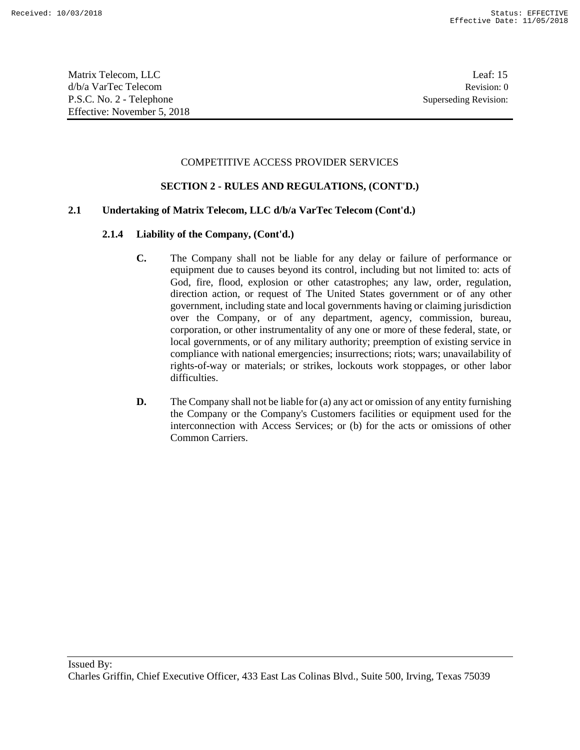Matrix Telecom, LLC Leaf: 15 d/b/a VarTec Telecom Revision: 0 P.S.C. No. 2 - Telephone Superseding Revision: Effective: November 5, 2018

## COMPETITIVE ACCESS PROVIDER SERVICES

### **SECTION 2 - RULES AND REGULATIONS, (CONT'D.)**

### **2.1 Undertaking of Matrix Telecom, LLC d/b/a VarTec Telecom (Cont'd.)**

- **C.** The Company shall not be liable for any delay or failure of performance or equipment due to causes beyond its control, including but not limited to: acts of God, fire, flood, explosion or other catastrophes; any law, order, regulation, direction action, or request of The United States government or of any other government, including state and local governments having or claiming jurisdiction over the Company, or of any department, agency, commission, bureau, corporation, or other instrumentality of any one or more of these federal, state, or local governments, or of any military authority; preemption of existing service in compliance with national emergencies; insurrections; riots; wars; unavailability of rights-of-way or materials; or strikes, lockouts work stoppages, or other labor difficulties.
- **D.** The Company shall not be liable for (a) any act or omission of any entity furnishing the Company or the Company's Customers facilities or equipment used for the interconnection with Access Services; or (b) for the acts or omissions of other Common Carriers.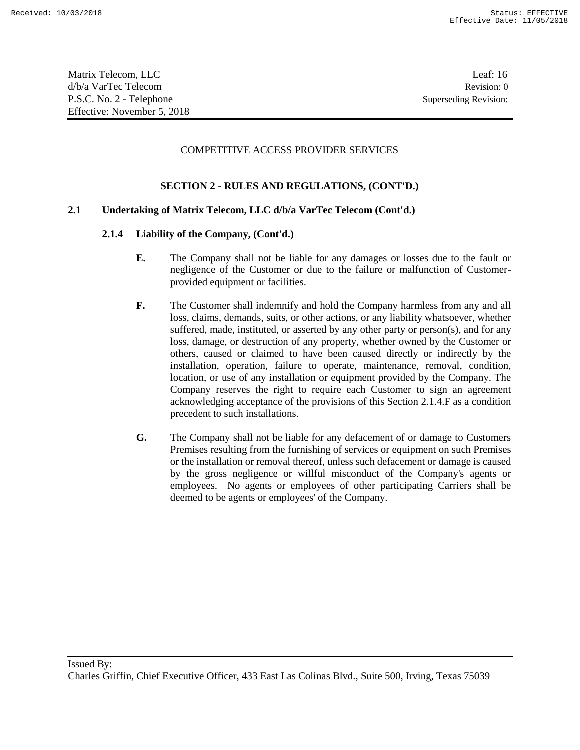Matrix Telecom, LLC Leaf: 16 d/b/a VarTec Telecom Revision: 0 P.S.C. No. 2 - Telephone Superseding Revision: Effective: November 5, 2018

### COMPETITIVE ACCESS PROVIDER SERVICES

### **SECTION 2 - RULES AND REGULATIONS, (CONT'D.)**

## **2.1 Undertaking of Matrix Telecom, LLC d/b/a VarTec Telecom (Cont'd.)**

- **E.** The Company shall not be liable for any damages or losses due to the fault or negligence of the Customer or due to the failure or malfunction of Customerprovided equipment or facilities.
- **F.** The Customer shall indemnify and hold the Company harmless from any and all loss, claims, demands, suits, or other actions, or any liability whatsoever, whether suffered, made, instituted, or asserted by any other party or person(s), and for any loss, damage, or destruction of any property, whether owned by the Customer or others, caused or claimed to have been caused directly or indirectly by the installation, operation, failure to operate, maintenance, removal, condition, location, or use of any installation or equipment provided by the Company. The Company reserves the right to require each Customer to sign an agreement acknowledging acceptance of the provisions of this Section 2.1.4.F as a condition precedent to such installations.
- **G.** The Company shall not be liable for any defacement of or damage to Customers Premises resulting from the furnishing of services or equipment on such Premises or the installation or removal thereof, unless such defacement or damage is caused by the gross negligence or willful misconduct of the Company's agents or employees. No agents or employees of other participating Carriers shall be deemed to be agents or employees' of the Company.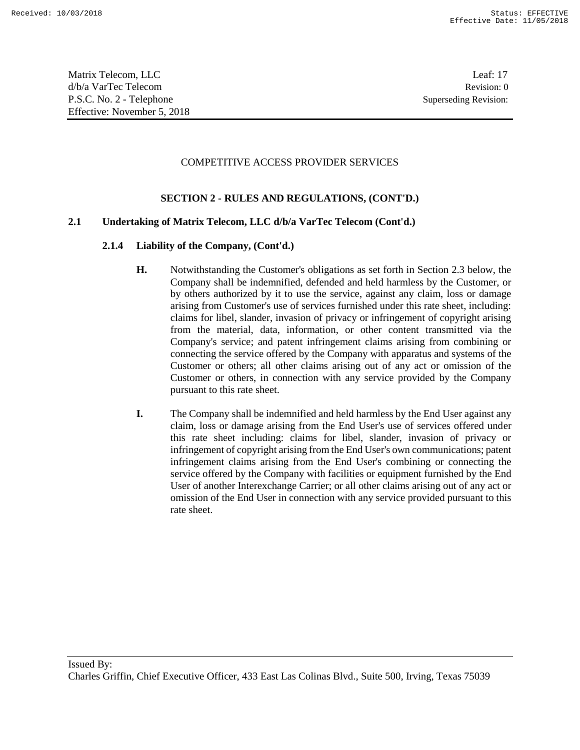Matrix Telecom, LLC Leaf: 17 d/b/a VarTec Telecom Revision: 0 P.S.C. No. 2 - Telephone Superseding Revision: Effective: November 5, 2018

## COMPETITIVE ACCESS PROVIDER SERVICES

## **SECTION 2 - RULES AND REGULATIONS, (CONT'D.)**

## **2.1 Undertaking of Matrix Telecom, LLC d/b/a VarTec Telecom (Cont'd.)**

- **H.** Notwithstanding the Customer's obligations as set forth in Section 2.3 below, the Company shall be indemnified, defended and held harmless by the Customer, or by others authorized by it to use the service, against any claim, loss or damage arising from Customer's use of services furnished under this rate sheet, including: claims for libel, slander, invasion of privacy or infringement of copyright arising from the material, data, information, or other content transmitted via the Company's service; and patent infringement claims arising from combining or connecting the service offered by the Company with apparatus and systems of the Customer or others; all other claims arising out of any act or omission of the Customer or others, in connection with any service provided by the Company pursuant to this rate sheet.
- **I.** The Company shall be indemnified and held harmless by the End User against any claim, loss or damage arising from the End User's use of services offered under this rate sheet including: claims for libel, slander, invasion of privacy or infringement of copyright arising from the End User's own communications; patent infringement claims arising from the End User's combining or connecting the service offered by the Company with facilities or equipment furnished by the End User of another Interexchange Carrier; or all other claims arising out of any act or omission of the End User in connection with any service provided pursuant to this rate sheet.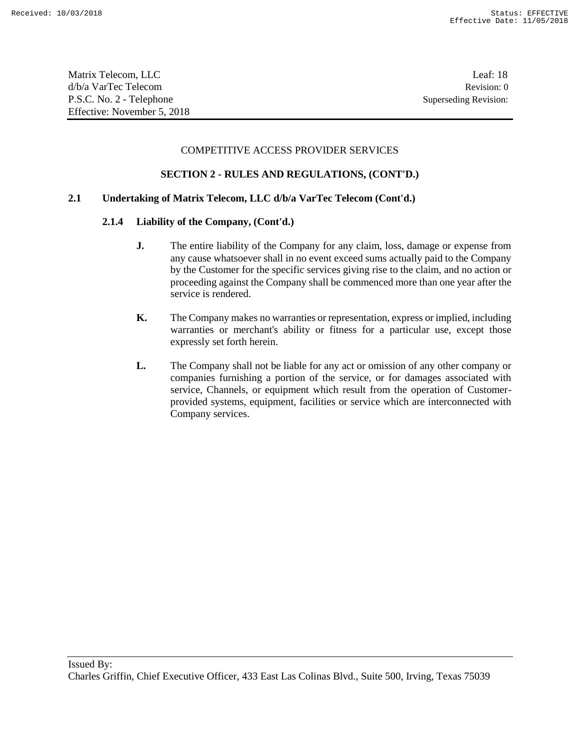### COMPETITIVE ACCESS PROVIDER SERVICES

## **SECTION 2 - RULES AND REGULATIONS, (CONT'D.)**

### **2.1 Undertaking of Matrix Telecom, LLC d/b/a VarTec Telecom (Cont'd.)**

- **J.** The entire liability of the Company for any claim, loss, damage or expense from any cause whatsoever shall in no event exceed sums actually paid to the Company by the Customer for the specific services giving rise to the claim, and no action or proceeding against the Company shall be commenced more than one year after the service is rendered.
- **K.** The Company makes no warranties or representation, express or implied, including warranties or merchant's ability or fitness for a particular use, except those expressly set forth herein.
- **L.** The Company shall not be liable for any act or omission of any other company or companies furnishing a portion of the service, or for damages associated with service, Channels, or equipment which result from the operation of Customerprovided systems, equipment, facilities or service which are interconnected with Company services.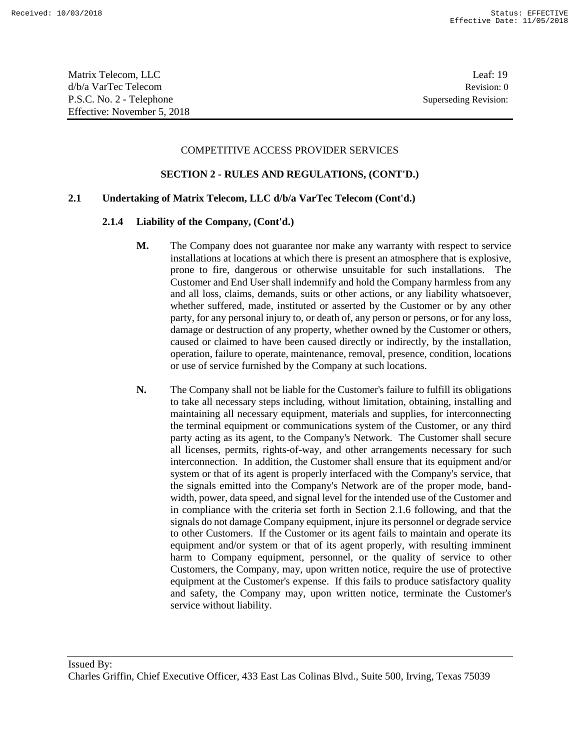#### COMPETITIVE ACCESS PROVIDER SERVICES

#### **SECTION 2 - RULES AND REGULATIONS, (CONT'D.)**

### **2.1 Undertaking of Matrix Telecom, LLC d/b/a VarTec Telecom (Cont'd.)**

- **M.** The Company does not guarantee nor make any warranty with respect to service installations at locations at which there is present an atmosphere that is explosive, prone to fire, dangerous or otherwise unsuitable for such installations. The Customer and End User shall indemnify and hold the Company harmless from any and all loss, claims, demands, suits or other actions, or any liability whatsoever, whether suffered, made, instituted or asserted by the Customer or by any other party, for any personal injury to, or death of, any person or persons, or for any loss, damage or destruction of any property, whether owned by the Customer or others, caused or claimed to have been caused directly or indirectly, by the installation, operation, failure to operate, maintenance, removal, presence, condition, locations or use of service furnished by the Company at such locations.
- **N.** The Company shall not be liable for the Customer's failure to fulfill its obligations to take all necessary steps including, without limitation, obtaining, installing and maintaining all necessary equipment, materials and supplies, for interconnecting the terminal equipment or communications system of the Customer, or any third party acting as its agent, to the Company's Network. The Customer shall secure all licenses, permits, rights-of-way, and other arrangements necessary for such interconnection. In addition, the Customer shall ensure that its equipment and/or system or that of its agent is properly interfaced with the Company's service, that the signals emitted into the Company's Network are of the proper mode, bandwidth, power, data speed, and signal level for the intended use of the Customer and in compliance with the criteria set forth in Section 2.1.6 following, and that the signals do not damage Company equipment, injure its personnel or degrade service to other Customers. If the Customer or its agent fails to maintain and operate its equipment and/or system or that of its agent properly, with resulting imminent harm to Company equipment, personnel, or the quality of service to other Customers, the Company, may, upon written notice, require the use of protective equipment at the Customer's expense. If this fails to produce satisfactory quality and safety, the Company may, upon written notice, terminate the Customer's service without liability.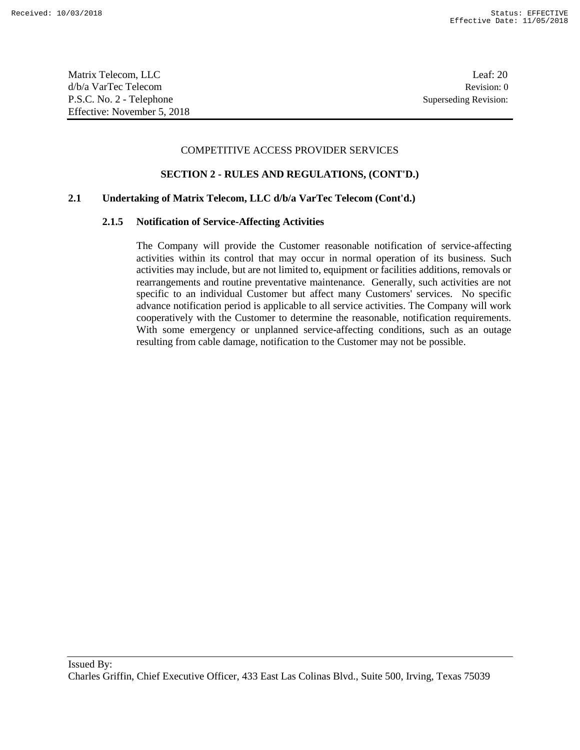Matrix Telecom, LLC Leaf: 20 d/b/a VarTec Telecom Revision: 0 P.S.C. No. 2 - Telephone Superseding Revision: Effective: November 5, 2018

#### COMPETITIVE ACCESS PROVIDER SERVICES

#### **SECTION 2 - RULES AND REGULATIONS, (CONT'D.)**

### **2.1 Undertaking of Matrix Telecom, LLC d/b/a VarTec Telecom (Cont'd.)**

#### **2.1.5 Notification of Service-Affecting Activities**

The Company will provide the Customer reasonable notification of service-affecting activities within its control that may occur in normal operation of its business. Such activities may include, but are not limited to, equipment or facilities additions, removals or rearrangements and routine preventative maintenance. Generally, such activities are not specific to an individual Customer but affect many Customers' services. No specific advance notification period is applicable to all service activities. The Company will work cooperatively with the Customer to determine the reasonable, notification requirements. With some emergency or unplanned service-affecting conditions, such as an outage resulting from cable damage, notification to the Customer may not be possible.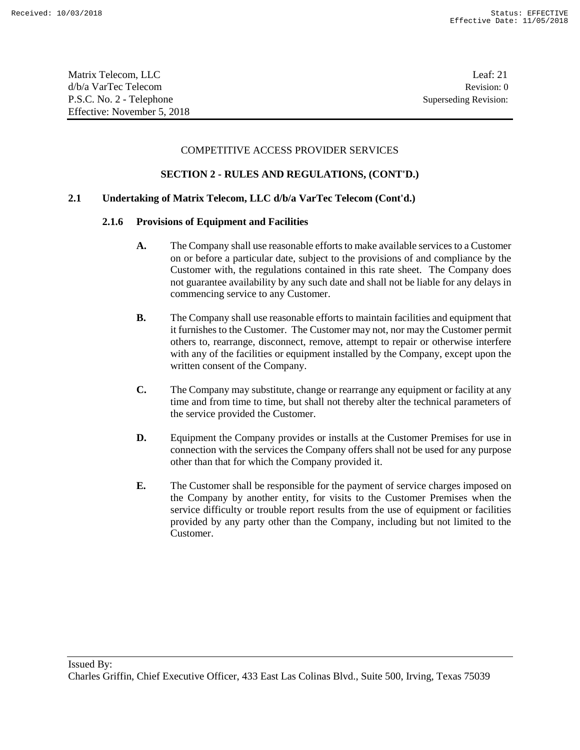#### COMPETITIVE ACCESS PROVIDER SERVICES

### **SECTION 2 - RULES AND REGULATIONS, (CONT'D.)**

### **2.1 Undertaking of Matrix Telecom, LLC d/b/a VarTec Telecom (Cont'd.)**

#### **2.1.6 Provisions of Equipment and Facilities**

- **A.** The Company shall use reasonable efforts to make available services to a Customer on or before a particular date, subject to the provisions of and compliance by the Customer with, the regulations contained in this rate sheet. The Company does not guarantee availability by any such date and shall not be liable for any delays in commencing service to any Customer.
- **B.** The Company shall use reasonable efforts to maintain facilities and equipment that it furnishes to the Customer. The Customer may not, nor may the Customer permit others to, rearrange, disconnect, remove, attempt to repair or otherwise interfere with any of the facilities or equipment installed by the Company, except upon the written consent of the Company.
- **C.** The Company may substitute, change or rearrange any equipment or facility at any time and from time to time, but shall not thereby alter the technical parameters of the service provided the Customer.
- **D.** Equipment the Company provides or installs at the Customer Premises for use in connection with the services the Company offers shall not be used for any purpose other than that for which the Company provided it.
- **E.** The Customer shall be responsible for the payment of service charges imposed on the Company by another entity, for visits to the Customer Premises when the service difficulty or trouble report results from the use of equipment or facilities provided by any party other than the Company, including but not limited to the Customer.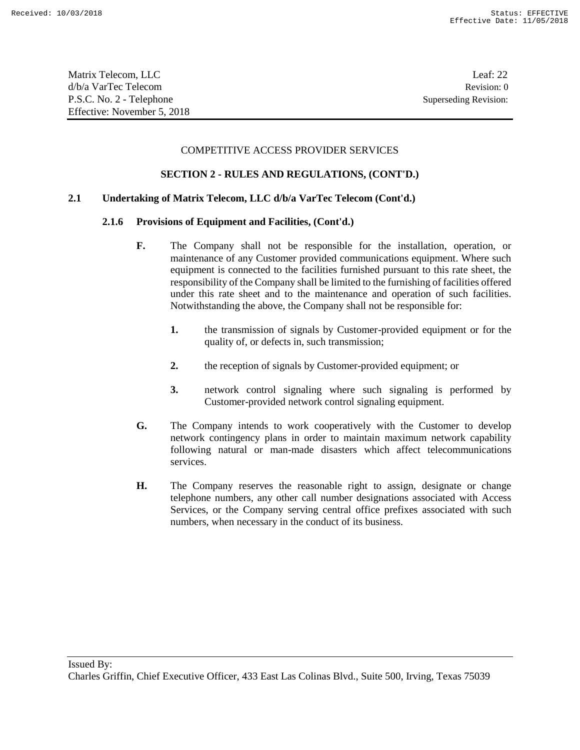Matrix Telecom, LLC Leaf: 22 d/b/a VarTec Telecom Revision: 0 P.S.C. No. 2 - Telephone Superseding Revision: Effective: November 5, 2018

#### COMPETITIVE ACCESS PROVIDER SERVICES

### **SECTION 2 - RULES AND REGULATIONS, (CONT'D.)**

### **2.1 Undertaking of Matrix Telecom, LLC d/b/a VarTec Telecom (Cont'd.)**

#### **2.1.6 Provisions of Equipment and Facilities, (Cont'd.)**

- **F.** The Company shall not be responsible for the installation, operation, or maintenance of any Customer provided communications equipment. Where such equipment is connected to the facilities furnished pursuant to this rate sheet, the responsibility of the Company shall be limited to the furnishing of facilities offered under this rate sheet and to the maintenance and operation of such facilities. Notwithstanding the above, the Company shall not be responsible for:
	- **1.** the transmission of signals by Customer-provided equipment or for the quality of, or defects in, such transmission;
	- **2.** the reception of signals by Customer-provided equipment; or
	- **3.** network control signaling where such signaling is performed by Customer-provided network control signaling equipment.
- **G.** The Company intends to work cooperatively with the Customer to develop network contingency plans in order to maintain maximum network capability following natural or man-made disasters which affect telecommunications services.
- **H.** The Company reserves the reasonable right to assign, designate or change telephone numbers, any other call number designations associated with Access Services, or the Company serving central office prefixes associated with such numbers, when necessary in the conduct of its business.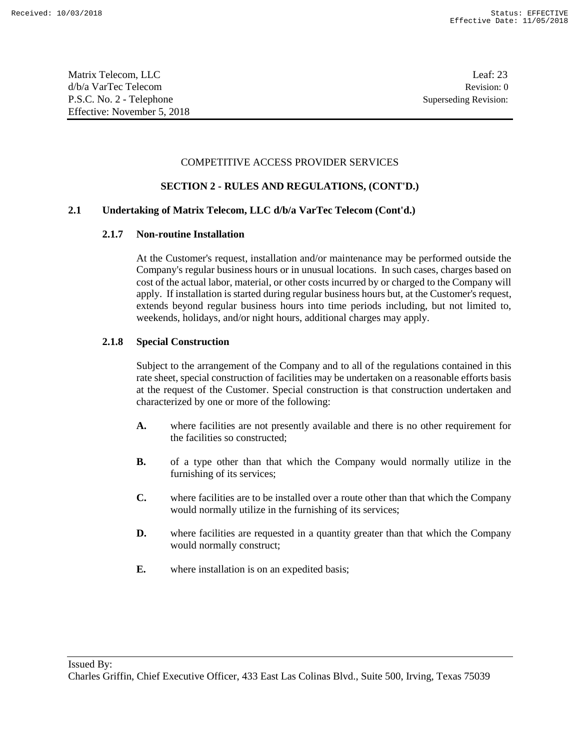Matrix Telecom, LLC Leaf: 23 d/b/a VarTec Telecom Revision: 0 P.S.C. No. 2 - Telephone Superseding Revision: Effective: November 5, 2018

## COMPETITIVE ACCESS PROVIDER SERVICES

# **SECTION 2 - RULES AND REGULATIONS, (CONT'D.)**

# **2.1 Undertaking of Matrix Telecom, LLC d/b/a VarTec Telecom (Cont'd.)**

# **2.1.7 Non-routine Installation**

At the Customer's request, installation and/or maintenance may be performed outside the Company's regular business hours or in unusual locations. In such cases, charges based on cost of the actual labor, material, or other costs incurred by or charged to the Company will apply. If installation is started during regular business hours but, at the Customer's request, extends beyond regular business hours into time periods including, but not limited to, weekends, holidays, and/or night hours, additional charges may apply.

# **2.1.8 Special Construction**

Subject to the arrangement of the Company and to all of the regulations contained in this rate sheet, special construction of facilities may be undertaken on a reasonable efforts basis at the request of the Customer. Special construction is that construction undertaken and characterized by one or more of the following:

- **A.** where facilities are not presently available and there is no other requirement for the facilities so constructed;
- **B.** of a type other than that which the Company would normally utilize in the furnishing of its services;
- **C.** where facilities are to be installed over a route other than that which the Company would normally utilize in the furnishing of its services;
- **D.** where facilities are requested in a quantity greater than that which the Company would normally construct;
- **E.** where installation is on an expedited basis;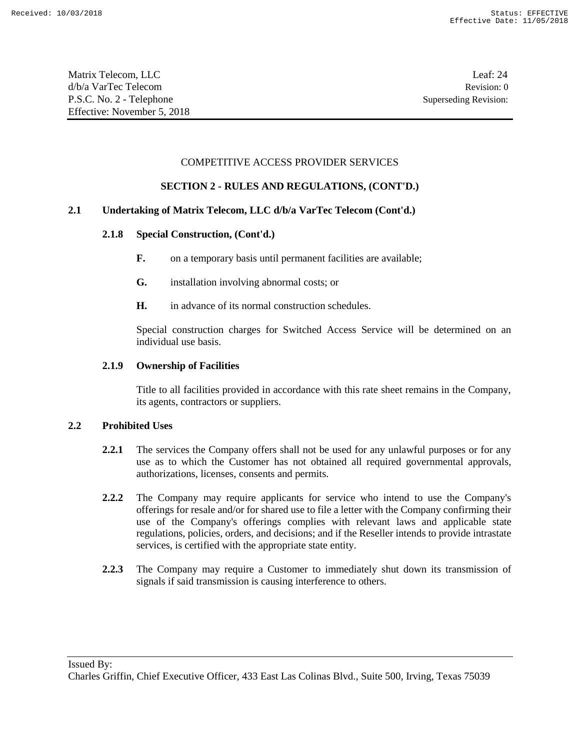## COMPETITIVE ACCESS PROVIDER SERVICES

### **SECTION 2 - RULES AND REGULATIONS, (CONT'D.)**

## **2.1 Undertaking of Matrix Telecom, LLC d/b/a VarTec Telecom (Cont'd.)**

### **2.1.8 Special Construction, (Cont'd.)**

- **F.** on a temporary basis until permanent facilities are available;
- **G.** installation involving abnormal costs; or
- **H.** in advance of its normal construction schedules.

Special construction charges for Switched Access Service will be determined on an individual use basis.

#### **2.1.9 Ownership of Facilities**

Title to all facilities provided in accordance with this rate sheet remains in the Company, its agents, contractors or suppliers.

#### **2.2 Prohibited Uses**

- **2.2.1** The services the Company offers shall not be used for any unlawful purposes or for any use as to which the Customer has not obtained all required governmental approvals, authorizations, licenses, consents and permits.
- **2.2.2** The Company may require applicants for service who intend to use the Company's offerings for resale and/or for shared use to file a letter with the Company confirming their use of the Company's offerings complies with relevant laws and applicable state regulations, policies, orders, and decisions; and if the Reseller intends to provide intrastate services, is certified with the appropriate state entity.
- **2.2.3** The Company may require a Customer to immediately shut down its transmission of signals if said transmission is causing interference to others.

Charles Griffin, Chief Executive Officer, 433 East Las Colinas Blvd., Suite 500, Irving, Texas 75039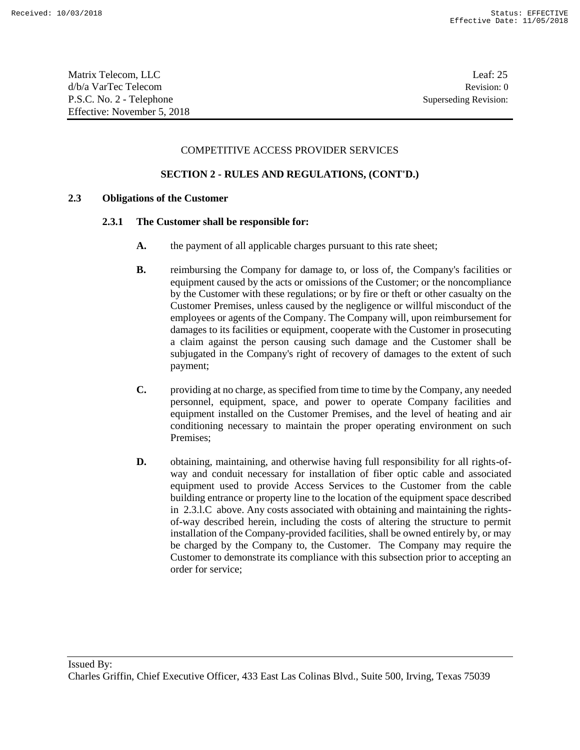### COMPETITIVE ACCESS PROVIDER SERVICES

### **SECTION 2 - RULES AND REGULATIONS, (CONT'D.)**

### **2.3 Obligations of the Customer**

#### **2.3.1 The Customer shall be responsible for:**

- **A.** the payment of all applicable charges pursuant to this rate sheet;
- **B.** reimbursing the Company for damage to, or loss of, the Company's facilities or equipment caused by the acts or omissions of the Customer; or the noncompliance by the Customer with these regulations; or by fire or theft or other casualty on the Customer Premises, unless caused by the negligence or willful misconduct of the employees or agents of the Company. The Company will, upon reimbursement for damages to its facilities or equipment, cooperate with the Customer in prosecuting a claim against the person causing such damage and the Customer shall be subjugated in the Company's right of recovery of damages to the extent of such payment;
- **C.** providing at no charge, as specified from time to time by the Company, any needed personnel, equipment, space, and power to operate Company facilities and equipment installed on the Customer Premises, and the level of heating and air conditioning necessary to maintain the proper operating environment on such Premises;
- **D.** obtaining, maintaining, and otherwise having full responsibility for all rights-ofway and conduit necessary for installation of fiber optic cable and associated equipment used to provide Access Services to the Customer from the cable building entrance or property line to the location of the equipment space described in 2.3.l.C above. Any costs associated with obtaining and maintaining the rightsof-way described herein, including the costs of altering the structure to permit installation of the Company-provided facilities, shall be owned entirely by, or may be charged by the Company to, the Customer. The Company may require the Customer to demonstrate its compliance with this subsection prior to accepting an order for service;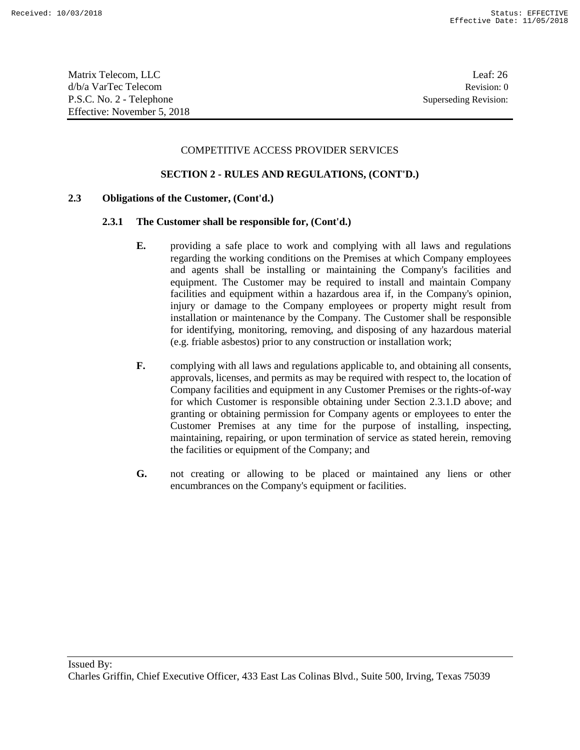Matrix Telecom, LLC Leaf: 26 d/b/a VarTec Telecom Revision: 0 P.S.C. No. 2 - Telephone Superseding Revision: Effective: November 5, 2018

#### COMPETITIVE ACCESS PROVIDER SERVICES

### **SECTION 2 - RULES AND REGULATIONS, (CONT'D.)**

#### **2.3 Obligations of the Customer, (Cont'd.)**

#### **2.3.1 The Customer shall be responsible for, (Cont'd.)**

- **E.** providing a safe place to work and complying with all laws and regulations regarding the working conditions on the Premises at which Company employees and agents shall be installing or maintaining the Company's facilities and equipment. The Customer may be required to install and maintain Company facilities and equipment within a hazardous area if, in the Company's opinion, injury or damage to the Company employees or property might result from installation or maintenance by the Company. The Customer shall be responsible for identifying, monitoring, removing, and disposing of any hazardous material (e.g. friable asbestos) prior to any construction or installation work;
- **F.** complying with all laws and regulations applicable to, and obtaining all consents, approvals, licenses, and permits as may be required with respect to, the location of Company facilities and equipment in any Customer Premises or the rights-of-way for which Customer is responsible obtaining under Section 2.3.1.D above; and granting or obtaining permission for Company agents or employees to enter the Customer Premises at any time for the purpose of installing, inspecting, maintaining, repairing, or upon termination of service as stated herein, removing the facilities or equipment of the Company; and
- **G.** not creating or allowing to be placed or maintained any liens or other encumbrances on the Company's equipment or facilities.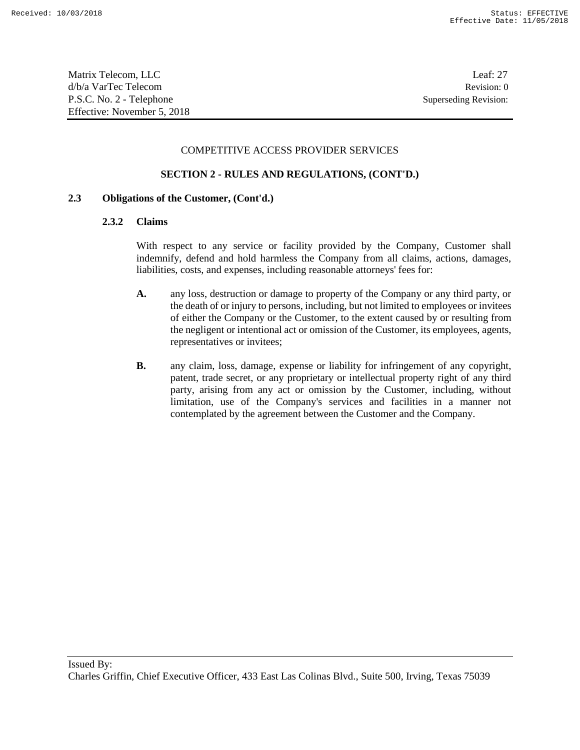Matrix Telecom, LLC Leaf: 27 d/b/a VarTec Telecom Revision: 0 P.S.C. No. 2 - Telephone Superseding Revision: Effective: November 5, 2018

#### COMPETITIVE ACCESS PROVIDER SERVICES

### **SECTION 2 - RULES AND REGULATIONS, (CONT'D.)**

### **2.3 Obligations of the Customer, (Cont'd.)**

#### **2.3.2 Claims**

With respect to any service or facility provided by the Company, Customer shall indemnify, defend and hold harmless the Company from all claims, actions, damages, liabilities, costs, and expenses, including reasonable attorneys' fees for:

- **A.** any loss, destruction or damage to property of the Company or any third party, or the death of or injury to persons, including, but not limited to employees or invitees of either the Company or the Customer, to the extent caused by or resulting from the negligent or intentional act or omission of the Customer, its employees, agents, representatives or invitees;
- **B.** any claim, loss, damage, expense or liability for infringement of any copyright, patent, trade secret, or any proprietary or intellectual property right of any third party, arising from any act or omission by the Customer, including, without limitation, use of the Company's services and facilities in a manner not contemplated by the agreement between the Customer and the Company.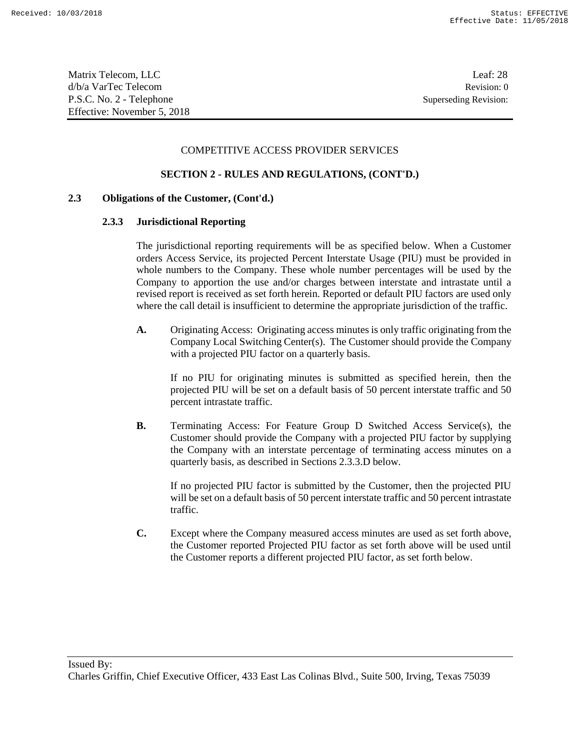#### COMPETITIVE ACCESS PROVIDER SERVICES

### **SECTION 2 - RULES AND REGULATIONS, (CONT'D.)**

#### **2.3 Obligations of the Customer, (Cont'd.)**

#### **2.3.3 Jurisdictional Reporting**

The jurisdictional reporting requirements will be as specified below. When a Customer orders Access Service, its projected Percent Interstate Usage (PIU) must be provided in whole numbers to the Company. These whole number percentages will be used by the Company to apportion the use and/or charges between interstate and intrastate until a revised report is received as set forth herein. Reported or default PIU factors are used only where the call detail is insufficient to determine the appropriate jurisdiction of the traffic.

**A.** Originating Access: Originating access minutes is only traffic originating from the Company Local Switching Center(s). The Customer should provide the Company with a projected PIU factor on a quarterly basis.

If no PIU for originating minutes is submitted as specified herein, then the projected PIU will be set on a default basis of 50 percent interstate traffic and 50 percent intrastate traffic.

**B.** Terminating Access: For Feature Group D Switched Access Service(s), the Customer should provide the Company with a projected PIU factor by supplying the Company with an interstate percentage of terminating access minutes on a quarterly basis, as described in Sections 2.3.3.D below.

If no projected PIU factor is submitted by the Customer, then the projected PIU will be set on a default basis of 50 percent interstate traffic and 50 percent intrastate traffic.

**C.** Except where the Company measured access minutes are used as set forth above, the Customer reported Projected PIU factor as set forth above will be used until the Customer reports a different projected PIU factor, as set forth below.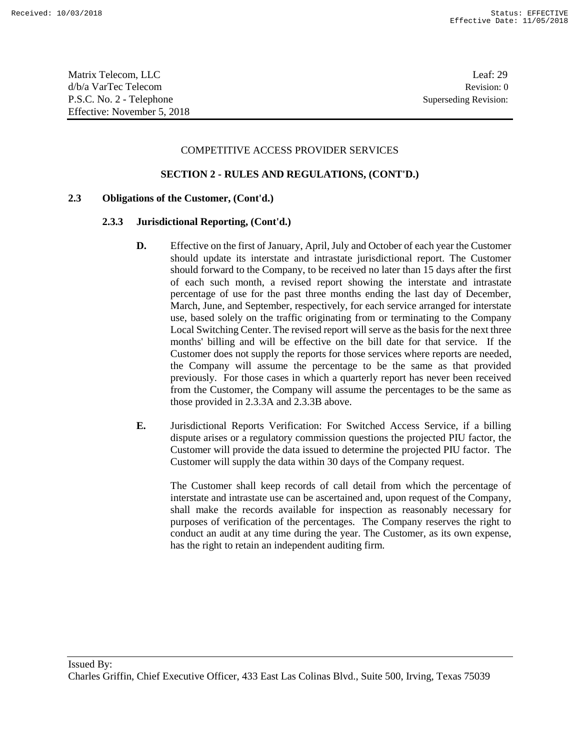#### COMPETITIVE ACCESS PROVIDER SERVICES

### **SECTION 2 - RULES AND REGULATIONS, (CONT'D.)**

#### **2.3 Obligations of the Customer, (Cont'd.)**

#### **2.3.3 Jurisdictional Reporting, (Cont'd.)**

- **D.** Effective on the first of January, April, July and October of each year the Customer should update its interstate and intrastate jurisdictional report. The Customer should forward to the Company, to be received no later than 15 days after the first of each such month, a revised report showing the interstate and intrastate percentage of use for the past three months ending the last day of December, March, June, and September, respectively, for each service arranged for interstate use, based solely on the traffic originating from or terminating to the Company Local Switching Center. The revised report will serve as the basis for the next three months' billing and will be effective on the bill date for that service. If the Customer does not supply the reports for those services where reports are needed, the Company will assume the percentage to be the same as that provided previously. For those cases in which a quarterly report has never been received from the Customer, the Company will assume the percentages to be the same as those provided in 2.3.3A and 2.3.3B above.
- **E.** Jurisdictional Reports Verification: For Switched Access Service, if a billing dispute arises or a regulatory commission questions the projected PIU factor, the Customer will provide the data issued to determine the projected PIU factor. The Customer will supply the data within 30 days of the Company request.

The Customer shall keep records of call detail from which the percentage of interstate and intrastate use can be ascertained and, upon request of the Company, shall make the records available for inspection as reasonably necessary for purposes of verification of the percentages. The Company reserves the right to conduct an audit at any time during the year. The Customer, as its own expense, has the right to retain an independent auditing firm.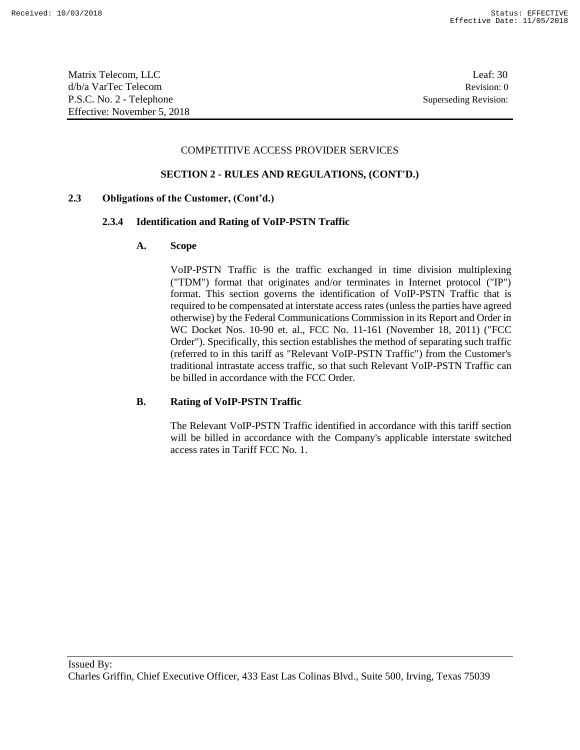Matrix Telecom, LLC Leaf: 30 d/b/a VarTec Telecom Revision: 0 P.S.C. No. 2 - Telephone Superseding Revision: Effective: November 5, 2018

#### COMPETITIVE ACCESS PROVIDER SERVICES

#### **SECTION 2 - RULES AND REGULATIONS, (CONT'D.)**

#### **2.3 Obligations of the Customer, (Cont'd.)**

#### **2.3.4 Identification and Rating of VoIP-PSTN Traffic**

#### **A. Scope**

VoIP-PSTN Traffic is the traffic exchanged in time division multiplexing ("TDM") format that originates and/or terminates in Internet protocol ("IP") format. This section governs the identification of VoIP-PSTN Traffic that is required to be compensated at interstate access rates (unless the parties have agreed otherwise) by the Federal Communications Commission in its Report and Order in WC Docket Nos. 10-90 et. al., FCC No. 11-161 (November 18, 2011) ("FCC Order"). Specifically, this section establishes the method of separating such traffic (referred to in this tariff as "Relevant VoIP-PSTN Traffic") from the Customer's traditional intrastate access traffic, so that such Relevant VoIP-PSTN Traffic can be billed in accordance with the FCC Order.

### **B. Rating of VoIP-PSTN Traffic**

The Relevant VoIP-PSTN Traffic identified in accordance with this tariff section will be billed in accordance with the Company's applicable interstate switched access rates in Tariff FCC No. 1.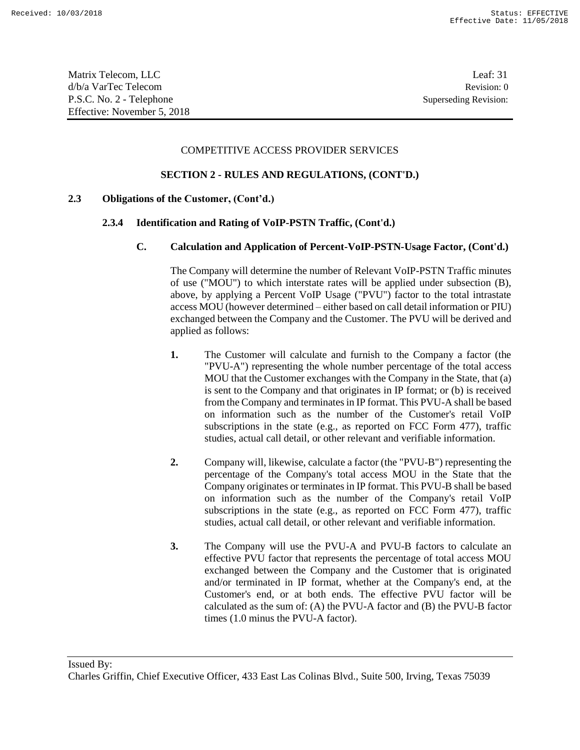#### COMPETITIVE ACCESS PROVIDER SERVICES

### **SECTION 2 - RULES AND REGULATIONS, (CONT'D.)**

### **2.3 Obligations of the Customer, (Cont'd.)**

### **2.3.4 Identification and Rating of VoIP-PSTN Traffic, (Cont'd.)**

### **C. Calculation and Application of Percent-VoIP-PSTN-Usage Factor, (Cont'd.)**

The Company will determine the number of Relevant VoIP-PSTN Traffic minutes of use ("MOU") to which interstate rates will be applied under subsection (B), above, by applying a Percent VoIP Usage ("PVU") factor to the total intrastate access MOU (however determined – either based on call detail information or PIU) exchanged between the Company and the Customer. The PVU will be derived and applied as follows:

- **1.** The Customer will calculate and furnish to the Company a factor (the "PVU-A") representing the whole number percentage of the total access MOU that the Customer exchanges with the Company in the State, that (a) is sent to the Company and that originates in IP format; or (b) is received from the Company and terminates in IP format. This PVU-A shall be based on information such as the number of the Customer's retail VoIP subscriptions in the state (e.g., as reported on FCC Form 477), traffic studies, actual call detail, or other relevant and verifiable information.
- **2.** Company will, likewise, calculate a factor (the "PVU-B") representing the percentage of the Company's total access MOU in the State that the Company originates or terminates in IP format. This PVU-B shall be based on information such as the number of the Company's retail VoIP subscriptions in the state (e.g., as reported on FCC Form 477), traffic studies, actual call detail, or other relevant and verifiable information.
- **3.** The Company will use the PVU-A and PVU-B factors to calculate an effective PVU factor that represents the percentage of total access MOU exchanged between the Company and the Customer that is originated and/or terminated in IP format, whether at the Company's end, at the Customer's end, or at both ends. The effective PVU factor will be calculated as the sum of: (A) the PVU-A factor and (B) the PVU-B factor times (1.0 minus the PVU-A factor).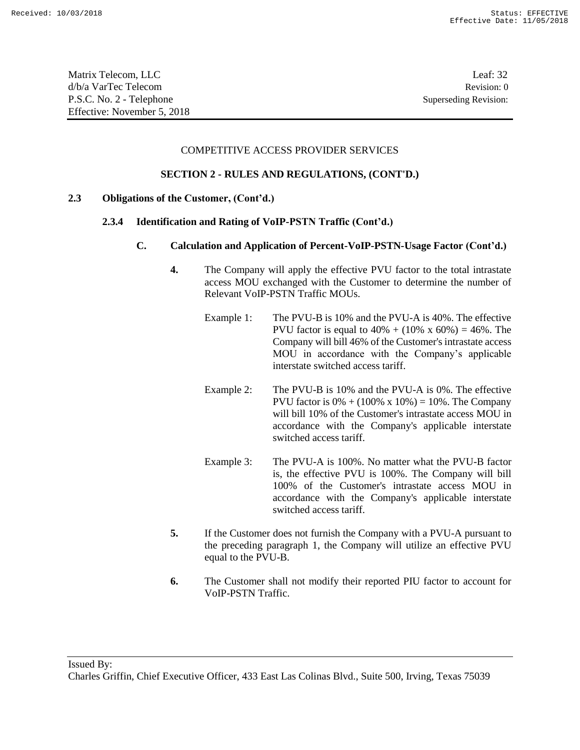| Matrix Telecom, LLC         | Leaf: $32$            |
|-----------------------------|-----------------------|
| d/b/a VarTec Telecom        | Revision: 0           |
| P.S.C. No. 2 - Telephone    | Superseding Revision: |
| Effective: November 5, 2018 |                       |

#### COMPETITIVE ACCESS PROVIDER SERVICES

#### **SECTION 2 - RULES AND REGULATIONS, (CONT'D.)**

#### **2.3 Obligations of the Customer, (Cont'd.)**

#### **2.3.4 Identification and Rating of VoIP-PSTN Traffic (Cont'd.)**

- **C. Calculation and Application of Percent-VoIP-PSTN-Usage Factor (Cont'd.)**
	- **4.** The Company will apply the effective PVU factor to the total intrastate access MOU exchanged with the Customer to determine the number of Relevant VoIP-PSTN Traffic MOUs.
		- Example 1: The PVU-B is 10% and the PVU-A is 40%. The effective PVU factor is equal to  $40\% + (10\% \times 60\%) = 46\%$ . The Company will bill 46% of the Customer's intrastate access MOU in accordance with the Company's applicable interstate switched access tariff.
		- Example 2: The PVU-B is 10% and the PVU-A is 0%. The effective PVU factor is  $0\% + (100\% \times 10\%) = 10\%$ . The Company will bill 10% of the Customer's intrastate access MOU in accordance with the Company's applicable interstate switched access tariff.
		- Example 3: The PVU-A is 100%. No matter what the PVU-B factor is, the effective PVU is 100%. The Company will bill 100% of the Customer's intrastate access MOU in accordance with the Company's applicable interstate switched access tariff.
	- **5.** If the Customer does not furnish the Company with a PVU-A pursuant to the preceding paragraph 1, the Company will utilize an effective PVU equal to the PVU-B.
	- **6.** The Customer shall not modify their reported PIU factor to account for VoIP-PSTN Traffic.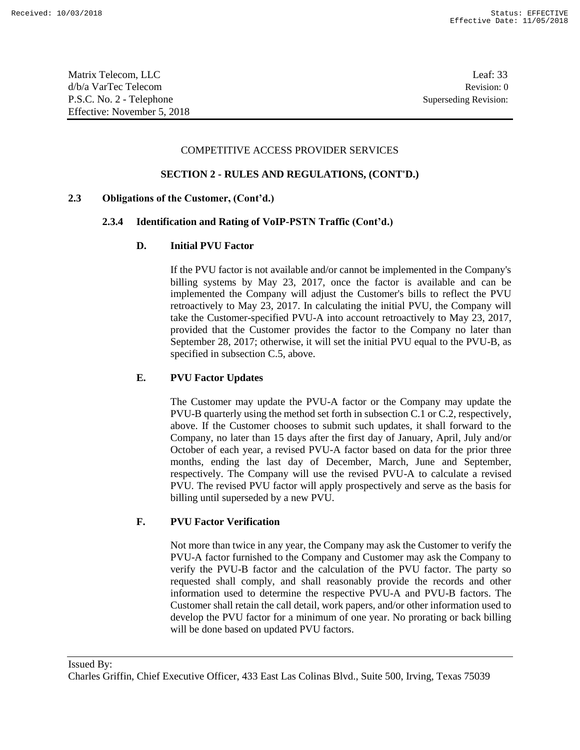Matrix Telecom, LLC Leaf: 33 d/b/a VarTec Telecom Revision: 0 P.S.C. No. 2 - Telephone Superseding Revision: Effective: November 5, 2018

#### COMPETITIVE ACCESS PROVIDER SERVICES

#### **SECTION 2 - RULES AND REGULATIONS, (CONT'D.)**

#### **2.3 Obligations of the Customer, (Cont'd.)**

#### **2.3.4 Identification and Rating of VoIP-PSTN Traffic (Cont'd.)**

#### **D. Initial PVU Factor**

If the PVU factor is not available and/or cannot be implemented in the Company's billing systems by May 23, 2017, once the factor is available and can be implemented the Company will adjust the Customer's bills to reflect the PVU retroactively to May 23, 2017. In calculating the initial PVU, the Company will take the Customer-specified PVU-A into account retroactively to May 23, 2017, provided that the Customer provides the factor to the Company no later than September 28, 2017; otherwise, it will set the initial PVU equal to the PVU-B, as specified in subsection C.5, above.

#### **E. PVU Factor Updates**

The Customer may update the PVU-A factor or the Company may update the PVU-B quarterly using the method set forth in subsection C.1 or C.2, respectively, above. If the Customer chooses to submit such updates, it shall forward to the Company, no later than 15 days after the first day of January, April, July and/or October of each year, a revised PVU-A factor based on data for the prior three months, ending the last day of December, March, June and September, respectively. The Company will use the revised PVU-A to calculate a revised PVU. The revised PVU factor will apply prospectively and serve as the basis for billing until superseded by a new PVU.

### **F. PVU Factor Verification**

Not more than twice in any year, the Company may ask the Customer to verify the PVU-A factor furnished to the Company and Customer may ask the Company to verify the PVU-B factor and the calculation of the PVU factor. The party so requested shall comply, and shall reasonably provide the records and other information used to determine the respective PVU-A and PVU-B factors. The Customer shall retain the call detail, work papers, and/or other information used to develop the PVU factor for a minimum of one year. No prorating or back billing will be done based on updated PVU factors.

Issued By:

Charles Griffin, Chief Executive Officer, 433 East Las Colinas Blvd., Suite 500, Irving, Texas 75039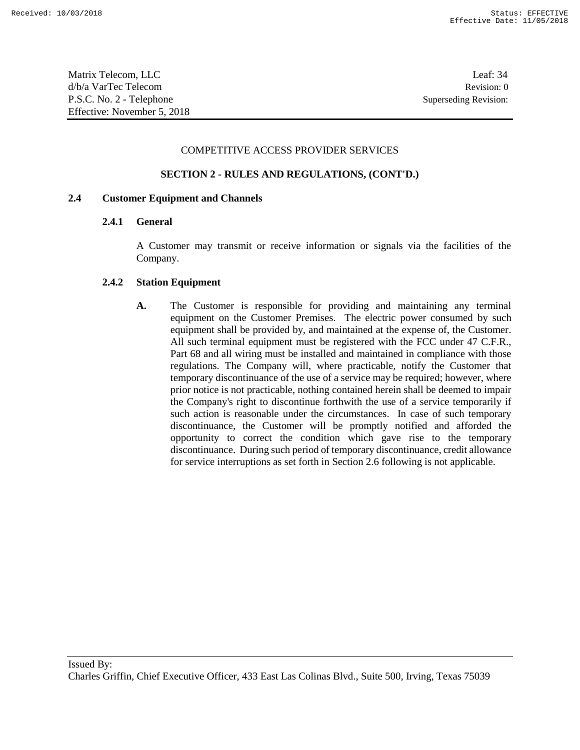Matrix Telecom, LLC Leaf: 34 d/b/a VarTec Telecom Revision: 0 P.S.C. No. 2 - Telephone Superseding Revision: Effective: November 5, 2018

#### COMPETITIVE ACCESS PROVIDER SERVICES

### **SECTION 2 - RULES AND REGULATIONS, (CONT'D.)**

### **2.4 Customer Equipment and Channels**

### **2.4.1 General**

A Customer may transmit or receive information or signals via the facilities of the Company.

#### **2.4.2 Station Equipment**

**A.** The Customer is responsible for providing and maintaining any terminal equipment on the Customer Premises. The electric power consumed by such equipment shall be provided by, and maintained at the expense of, the Customer. All such terminal equipment must be registered with the FCC under 47 C.F.R., Part 68 and all wiring must be installed and maintained in compliance with those regulations. The Company will, where practicable, notify the Customer that temporary discontinuance of the use of a service may be required; however, where prior notice is not practicable, nothing contained herein shall be deemed to impair the Company's right to discontinue forthwith the use of a service temporarily if such action is reasonable under the circumstances. In case of such temporary discontinuance, the Customer will be promptly notified and afforded the opportunity to correct the condition which gave rise to the temporary discontinuance. During such period of temporary discontinuance, credit allowance for service interruptions as set forth in Section 2.6 following is not applicable.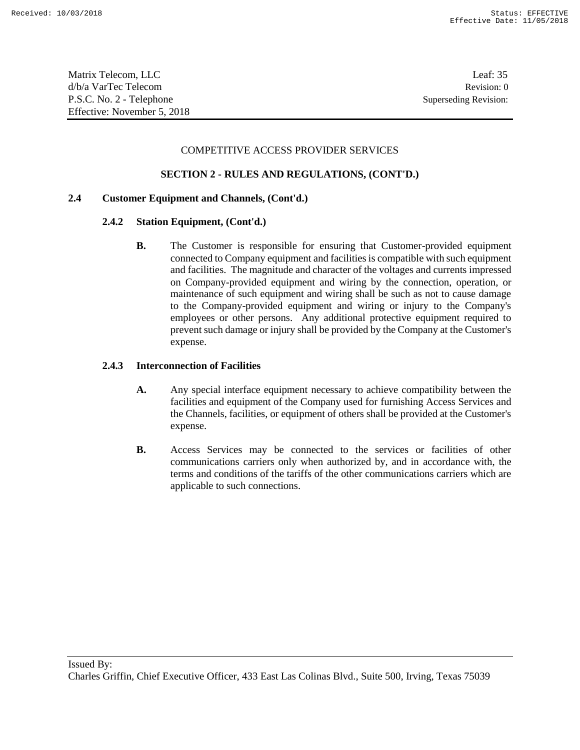Matrix Telecom, LLC and the control of the control of the control of the control of the control of the control of the control of the control of the control of the control of the control of the control of the control of the d/b/a VarTec Telecom Revision: 0 P.S.C. No. 2 - Telephone Superseding Revision: Effective: November 5, 2018

### COMPETITIVE ACCESS PROVIDER SERVICES

### **SECTION 2 - RULES AND REGULATIONS, (CONT'D.)**

### **2.4 Customer Equipment and Channels, (Cont'd.)**

#### **2.4.2 Station Equipment, (Cont'd.)**

**B.** The Customer is responsible for ensuring that Customer-provided equipment connected to Company equipment and facilities is compatible with such equipment and facilities. The magnitude and character of the voltages and currents impressed on Company-provided equipment and wiring by the connection, operation, or maintenance of such equipment and wiring shall be such as not to cause damage to the Company-provided equipment and wiring or injury to the Company's employees or other persons. Any additional protective equipment required to prevent such damage or injury shall be provided by the Company at the Customer's expense.

#### **2.4.3 Interconnection of Facilities**

- **A.** Any special interface equipment necessary to achieve compatibility between the facilities and equipment of the Company used for furnishing Access Services and the Channels, facilities, or equipment of others shall be provided at the Customer's expense.
- **B.** Access Services may be connected to the services or facilities of other communications carriers only when authorized by, and in accordance with, the terms and conditions of the tariffs of the other communications carriers which are applicable to such connections.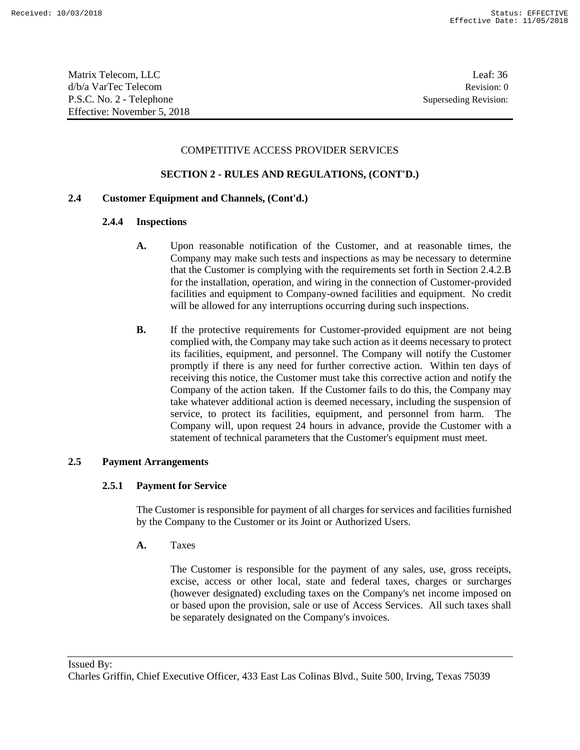Matrix Telecom, LLC Leaf: 36 d/b/a VarTec Telecom Revision: 0 P.S.C. No. 2 - Telephone Superseding Revision: Effective: November 5, 2018

### COMPETITIVE ACCESS PROVIDER SERVICES

## **SECTION 2 - RULES AND REGULATIONS, (CONT'D.)**

## **2.4 Customer Equipment and Channels, (Cont'd.)**

#### **2.4.4 Inspections**

- **A.** Upon reasonable notification of the Customer, and at reasonable times, the Company may make such tests and inspections as may be necessary to determine that the Customer is complying with the requirements set forth in Section 2.4.2.B for the installation, operation, and wiring in the connection of Customer-provided facilities and equipment to Company-owned facilities and equipment. No credit will be allowed for any interruptions occurring during such inspections.
- **B.** If the protective requirements for Customer-provided equipment are not being complied with, the Company may take such action as it deems necessary to protect its facilities, equipment, and personnel. The Company will notify the Customer promptly if there is any need for further corrective action. Within ten days of receiving this notice, the Customer must take this corrective action and notify the Company of the action taken. If the Customer fails to do this, the Company may take whatever additional action is deemed necessary, including the suspension of service, to protect its facilities, equipment, and personnel from harm. The Company will, upon request 24 hours in advance, provide the Customer with a statement of technical parameters that the Customer's equipment must meet.

#### **2.5 Payment Arrangements**

#### **2.5.1 Payment for Service**

The Customer is responsible for payment of all charges for services and facilities furnished by the Company to the Customer or its Joint or Authorized Users.

**A.** Taxes

The Customer is responsible for the payment of any sales, use, gross receipts, excise, access or other local, state and federal taxes, charges or surcharges (however designated) excluding taxes on the Company's net income imposed on or based upon the provision, sale or use of Access Services. All such taxes shall be separately designated on the Company's invoices.

Issued By:

Charles Griffin, Chief Executive Officer, 433 East Las Colinas Blvd., Suite 500, Irving, Texas 75039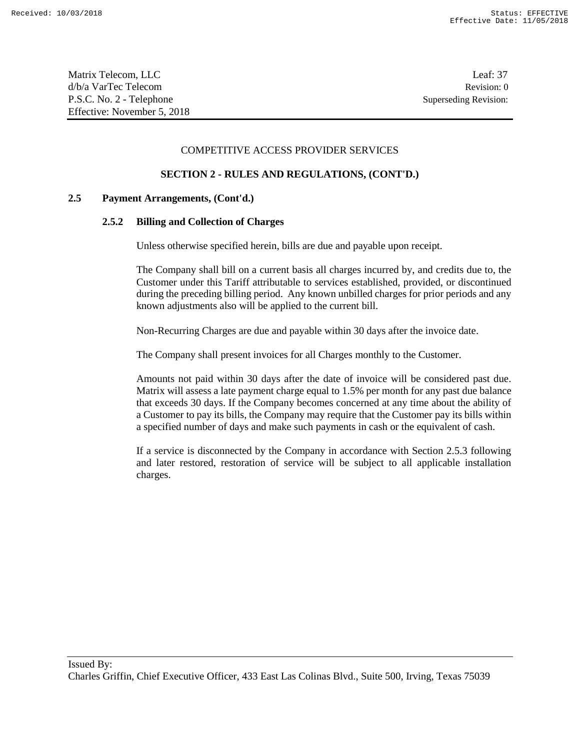#### COMPETITIVE ACCESS PROVIDER SERVICES

## **SECTION 2 - RULES AND REGULATIONS, (CONT'D.)**

### **2.5 Payment Arrangements, (Cont'd.)**

#### **2.5.2 Billing and Collection of Charges**

Unless otherwise specified herein, bills are due and payable upon receipt.

The Company shall bill on a current basis all charges incurred by, and credits due to, the Customer under this Tariff attributable to services established, provided, or discontinued during the preceding billing period. Any known unbilled charges for prior periods and any known adjustments also will be applied to the current bill.

Non-Recurring Charges are due and payable within 30 days after the invoice date.

The Company shall present invoices for all Charges monthly to the Customer.

Amounts not paid within 30 days after the date of invoice will be considered past due. Matrix will assess a late payment charge equal to 1.5% per month for any past due balance that exceeds 30 days. If the Company becomes concerned at any time about the ability of a Customer to pay its bills, the Company may require that the Customer pay its bills within a specified number of days and make such payments in cash or the equivalent of cash.

If a service is disconnected by the Company in accordance with Section 2.5.3 following and later restored, restoration of service will be subject to all applicable installation charges.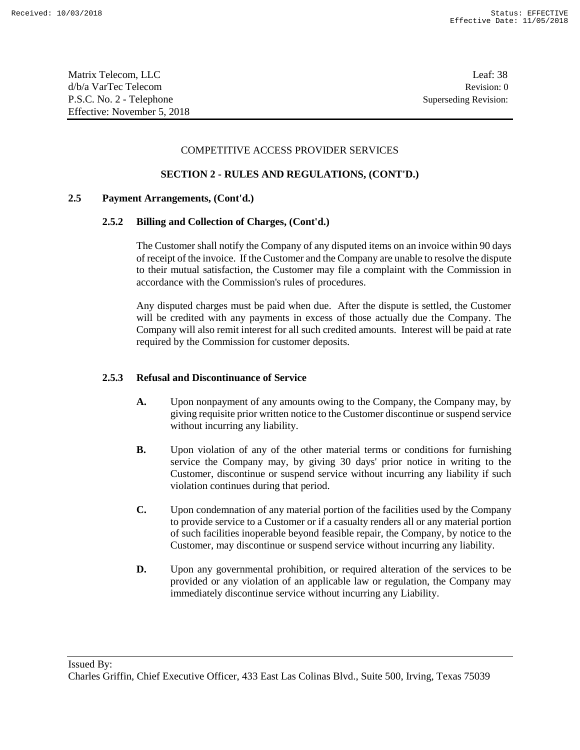### COMPETITIVE ACCESS PROVIDER SERVICES

## **SECTION 2 - RULES AND REGULATIONS, (CONT'D.)**

### **2.5 Payment Arrangements, (Cont'd.)**

### **2.5.2 Billing and Collection of Charges, (Cont'd.)**

The Customer shall notify the Company of any disputed items on an invoice within 90 days of receipt of the invoice. If the Customer and the Company are unable to resolve the dispute to their mutual satisfaction, the Customer may file a complaint with the Commission in accordance with the Commission's rules of procedures.

Any disputed charges must be paid when due. After the dispute is settled, the Customer will be credited with any payments in excess of those actually due the Company. The Company will also remit interest for all such credited amounts. Interest will be paid at rate required by the Commission for customer deposits.

#### **2.5.3 Refusal and Discontinuance of Service**

- **A.** Upon nonpayment of any amounts owing to the Company, the Company may, by giving requisite prior written notice to the Customer discontinue or suspend service without incurring any liability.
- **B.** Upon violation of any of the other material terms or conditions for furnishing service the Company may, by giving 30 days' prior notice in writing to the Customer, discontinue or suspend service without incurring any liability if such violation continues during that period.
- **C.** Upon condemnation of any material portion of the facilities used by the Company to provide service to a Customer or if a casualty renders all or any material portion of such facilities inoperable beyond feasible repair, the Company, by notice to the Customer, may discontinue or suspend service without incurring any liability.
- **D.** Upon any governmental prohibition, or required alteration of the services to be provided or any violation of an applicable law or regulation, the Company may immediately discontinue service without incurring any Liability.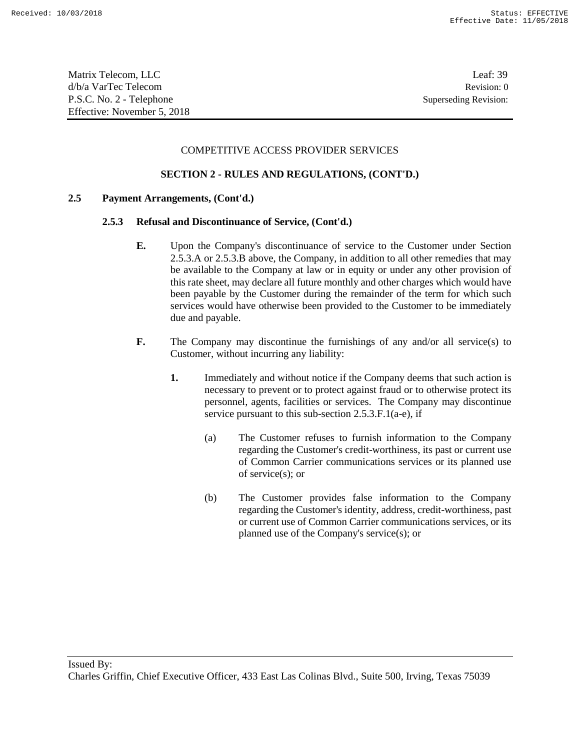#### COMPETITIVE ACCESS PROVIDER SERVICES

### **SECTION 2 - RULES AND REGULATIONS, (CONT'D.)**

### **2.5 Payment Arrangements, (Cont'd.)**

#### **2.5.3 Refusal and Discontinuance of Service, (Cont'd.)**

- **E.** Upon the Company's discontinuance of service to the Customer under Section 2.5.3.A or 2.5.3.B above, the Company, in addition to all other remedies that may be available to the Company at law or in equity or under any other provision of this rate sheet, may declare all future monthly and other charges which would have been payable by the Customer during the remainder of the term for which such services would have otherwise been provided to the Customer to be immediately due and payable.
- **F.** The Company may discontinue the furnishings of any and/or all service(s) to Customer, without incurring any liability:
	- **1.** Immediately and without notice if the Company deems that such action is necessary to prevent or to protect against fraud or to otherwise protect its personnel, agents, facilities or services. The Company may discontinue service pursuant to this sub-section 2.5.3.F.1(a-e), if
		- (a) The Customer refuses to furnish information to the Company regarding the Customer's credit-worthiness, its past or current use of Common Carrier communications services or its planned use of service(s); or
		- (b) The Customer provides false information to the Company regarding the Customer's identity, address, credit-worthiness, past or current use of Common Carrier communications services, or its planned use of the Company's service(s); or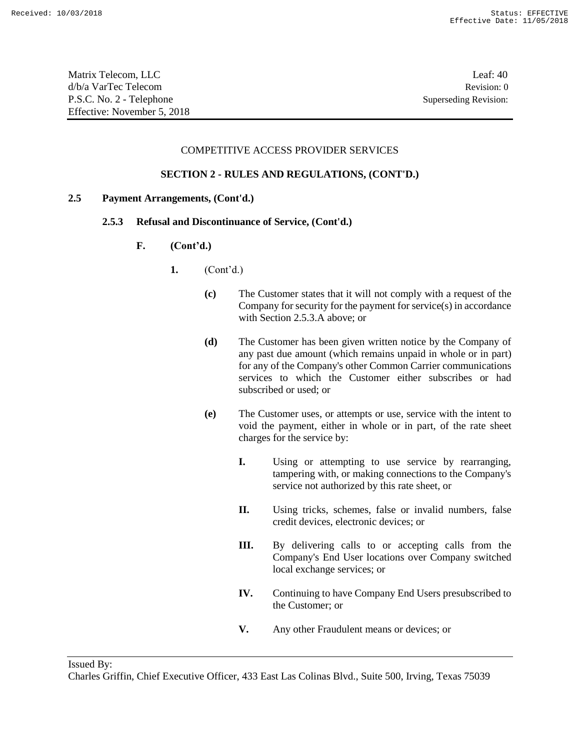Matrix Telecom, LLC Leaf: 40 d/b/a VarTec Telecom Revision: 0 P.S.C. No. 2 - Telephone Superseding Revision: Effective: November 5, 2018

### COMPETITIVE ACCESS PROVIDER SERVICES

### **SECTION 2 - RULES AND REGULATIONS, (CONT'D.)**

### **2.5 Payment Arrangements, (Cont'd.)**

### **2.5.3 Refusal and Discontinuance of Service, (Cont'd.)**

- **F. (Cont'd.)**
	- **1.** (Cont'd.)
		- **(c)** The Customer states that it will not comply with a request of the Company for security for the payment for service(s) in accordance with Section 2.5.3.A above; or
		- **(d)** The Customer has been given written notice by the Company of any past due amount (which remains unpaid in whole or in part) for any of the Company's other Common Carrier communications services to which the Customer either subscribes or had subscribed or used; or
		- **(e)** The Customer uses, or attempts or use, service with the intent to void the payment, either in whole or in part, of the rate sheet charges for the service by:
			- **I.** Using or attempting to use service by rearranging, tampering with, or making connections to the Company's service not authorized by this rate sheet, or
			- **II.** Using tricks, schemes, false or invalid numbers, false credit devices, electronic devices; or
			- **III.** By delivering calls to or accepting calls from the Company's End User locations over Company switched local exchange services; or
			- **IV.** Continuing to have Company End Users presubscribed to the Customer; or
			- **V.** Any other Fraudulent means or devices; or

Issued By:

Charles Griffin, Chief Executive Officer, 433 East Las Colinas Blvd., Suite 500, Irving, Texas 75039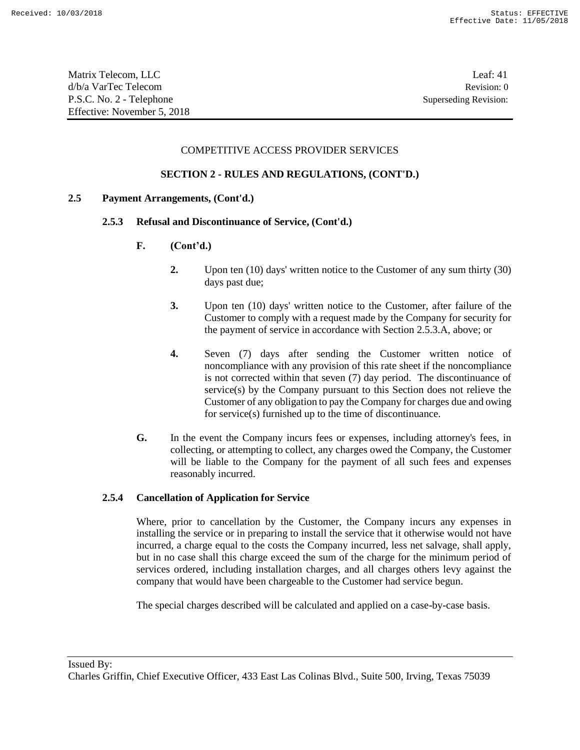| Matrix Telecom, LLC         | Leaf: 41              |
|-----------------------------|-----------------------|
| d/b/a VarTec Telecom        | Revision: 0           |
| P.S.C. No. 2 - Telephone    | Superseding Revision: |
| Effective: November 5, 2018 |                       |

#### COMPETITIVE ACCESS PROVIDER SERVICES

#### **SECTION 2 - RULES AND REGULATIONS, (CONT'D.)**

#### **2.5 Payment Arrangements, (Cont'd.)**

#### **2.5.3 Refusal and Discontinuance of Service, (Cont'd.)**

- **F. (Cont'd.)**
	- **2.** Upon ten (10) days' written notice to the Customer of any sum thirty (30) days past due;
	- **3.** Upon ten (10) days' written notice to the Customer, after failure of the Customer to comply with a request made by the Company for security for the payment of service in accordance with Section 2.5.3.A, above; or
	- **4.** Seven (7) days after sending the Customer written notice of noncompliance with any provision of this rate sheet if the noncompliance is not corrected within that seven (7) day period. The discontinuance of service(s) by the Company pursuant to this Section does not relieve the Customer of any obligation to pay the Company for charges due and owing for service(s) furnished up to the time of discontinuance.
- **G.** In the event the Company incurs fees or expenses, including attorney's fees, in collecting, or attempting to collect, any charges owed the Company, the Customer will be liable to the Company for the payment of all such fees and expenses reasonably incurred.

#### **2.5.4 Cancellation of Application for Service**

Where, prior to cancellation by the Customer, the Company incurs any expenses in installing the service or in preparing to install the service that it otherwise would not have incurred, a charge equal to the costs the Company incurred, less net salvage, shall apply, but in no case shall this charge exceed the sum of the charge for the minimum period of services ordered, including installation charges, and all charges others levy against the company that would have been chargeable to the Customer had service begun.

The special charges described will be calculated and applied on a case-by-case basis.

Issued By:

Charles Griffin, Chief Executive Officer, 433 East Las Colinas Blvd., Suite 500, Irving, Texas 75039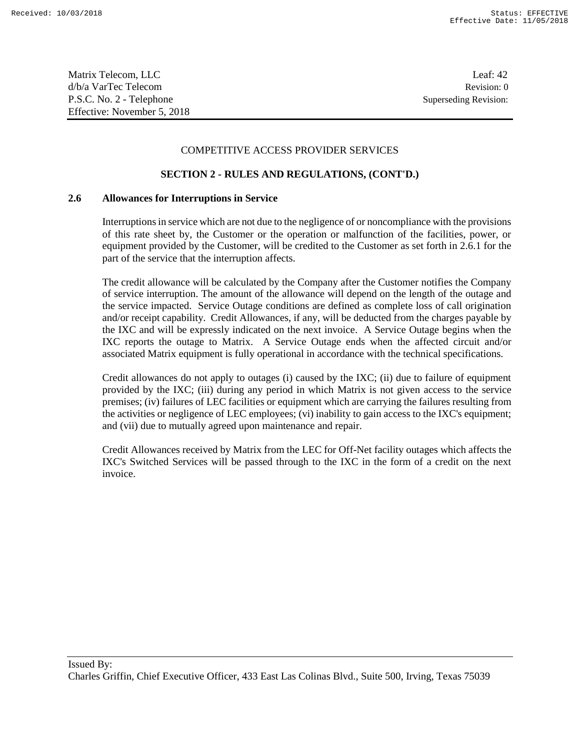Matrix Telecom, LLC Leaf: 42 d/b/a VarTec Telecom Revision: 0 P.S.C. No. 2 - Telephone Superseding Revision: Effective: November 5, 2018

### COMPETITIVE ACCESS PROVIDER SERVICES

### **SECTION 2 - RULES AND REGULATIONS, (CONT'D.)**

#### **2.6 Allowances for Interruptions in Service**

Interruptions in service which are not due to the negligence of or noncompliance with the provisions of this rate sheet by, the Customer or the operation or malfunction of the facilities, power, or equipment provided by the Customer, will be credited to the Customer as set forth in 2.6.1 for the part of the service that the interruption affects.

The credit allowance will be calculated by the Company after the Customer notifies the Company of service interruption. The amount of the allowance will depend on the length of the outage and the service impacted. Service Outage conditions are defined as complete loss of call origination and/or receipt capability. Credit Allowances, if any, will be deducted from the charges payable by the IXC and will be expressly indicated on the next invoice. A Service Outage begins when the IXC reports the outage to Matrix. A Service Outage ends when the affected circuit and/or associated Matrix equipment is fully operational in accordance with the technical specifications.

Credit allowances do not apply to outages (i) caused by the IXC; (ii) due to failure of equipment provided by the IXC; (iii) during any period in which Matrix is not given access to the service premises; (iv) failures of LEC facilities or equipment which are carrying the failures resulting from the activities or negligence of LEC employees; (vi) inability to gain access to the IXC's equipment; and (vii) due to mutually agreed upon maintenance and repair.

Credit Allowances received by Matrix from the LEC for Off-Net facility outages which affects the IXC's Switched Services will be passed through to the IXC in the form of a credit on the next invoice.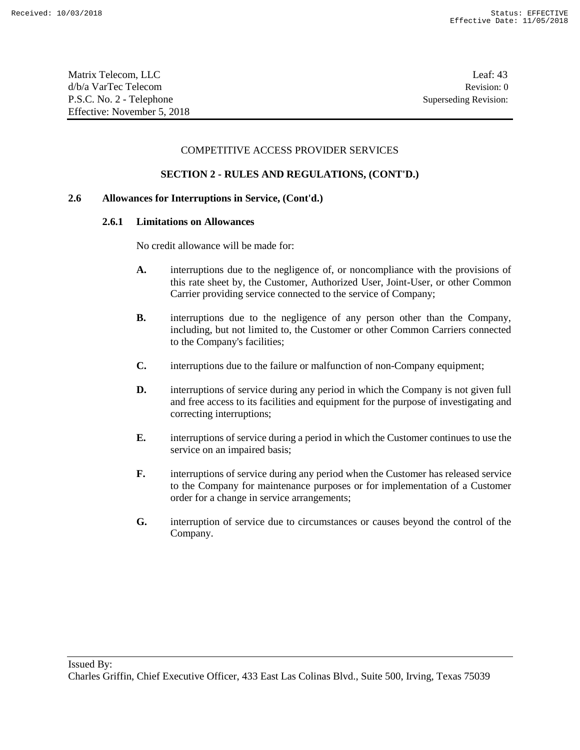Matrix Telecom, LLC Leaf: 43 d/b/a VarTec Telecom Revision: 0 P.S.C. No. 2 - Telephone Superseding Revision: Effective: November 5, 2018

#### COMPETITIVE ACCESS PROVIDER SERVICES

### **SECTION 2 - RULES AND REGULATIONS, (CONT'D.)**

### **2.6 Allowances for Interruptions in Service, (Cont'd.)**

#### **2.6.1 Limitations on Allowances**

No credit allowance will be made for:

- **A.** interruptions due to the negligence of, or noncompliance with the provisions of this rate sheet by, the Customer, Authorized User, Joint-User, or other Common Carrier providing service connected to the service of Company;
- **B.** interruptions due to the negligence of any person other than the Company, including, but not limited to, the Customer or other Common Carriers connected to the Company's facilities;
- **C.** interruptions due to the failure or malfunction of non-Company equipment;
- **D.** interruptions of service during any period in which the Company is not given full and free access to its facilities and equipment for the purpose of investigating and correcting interruptions;
- **E.** interruptions of service during a period in which the Customer continues to use the service on an impaired basis;
- **F.** interruptions of service during any period when the Customer has released service to the Company for maintenance purposes or for implementation of a Customer order for a change in service arrangements;
- **G.** interruption of service due to circumstances or causes beyond the control of the Company.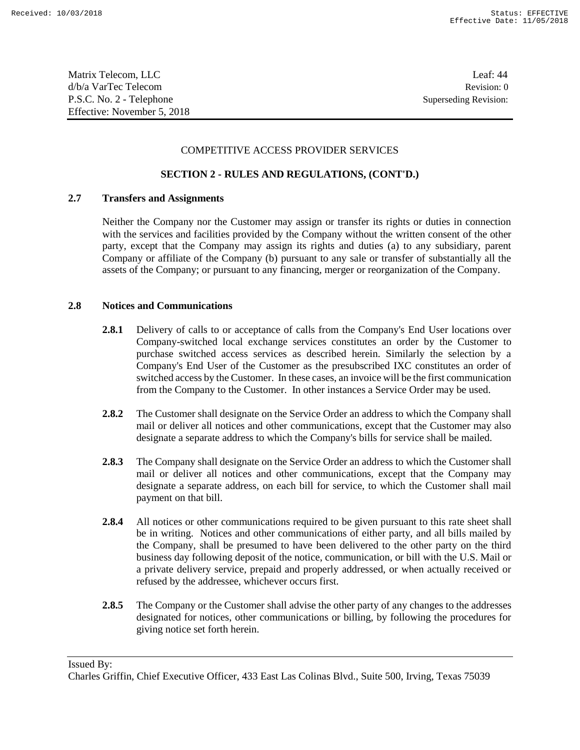Matrix Telecom, LLC Leaf: 44 d/b/a VarTec Telecom Revision: 0 P.S.C. No. 2 - Telephone Superseding Revision: Effective: November 5, 2018

### COMPETITIVE ACCESS PROVIDER SERVICES

### **SECTION 2 - RULES AND REGULATIONS, (CONT'D.)**

### **2.7 Transfers and Assignments**

Neither the Company nor the Customer may assign or transfer its rights or duties in connection with the services and facilities provided by the Company without the written consent of the other party, except that the Company may assign its rights and duties (a) to any subsidiary, parent Company or affiliate of the Company (b) pursuant to any sale or transfer of substantially all the assets of the Company; or pursuant to any financing, merger or reorganization of the Company.

### **2.8 Notices and Communications**

- **2.8.1** Delivery of calls to or acceptance of calls from the Company's End User locations over Company-switched local exchange services constitutes an order by the Customer to purchase switched access services as described herein. Similarly the selection by a Company's End User of the Customer as the presubscribed IXC constitutes an order of switched access by the Customer. In these cases, an invoice will be the first communication from the Company to the Customer. In other instances a Service Order may be used.
- **2.8.2** The Customer shall designate on the Service Order an address to which the Company shall mail or deliver all notices and other communications, except that the Customer may also designate a separate address to which the Company's bills for service shall be mailed.
- **2.8.3** The Company shall designate on the Service Order an address to which the Customer shall mail or deliver all notices and other communications, except that the Company may designate a separate address, on each bill for service, to which the Customer shall mail payment on that bill.
- **2.8.4** All notices or other communications required to be given pursuant to this rate sheet shall be in writing. Notices and other communications of either party, and all bills mailed by the Company, shall be presumed to have been delivered to the other party on the third business day following deposit of the notice, communication, or bill with the U.S. Mail or a private delivery service, prepaid and properly addressed, or when actually received or refused by the addressee, whichever occurs first.
- **2.8.5** The Company or the Customer shall advise the other party of any changes to the addresses designated for notices, other communications or billing, by following the procedures for giving notice set forth herein.

Issued By:

Charles Griffin, Chief Executive Officer, 433 East Las Colinas Blvd., Suite 500, Irving, Texas 75039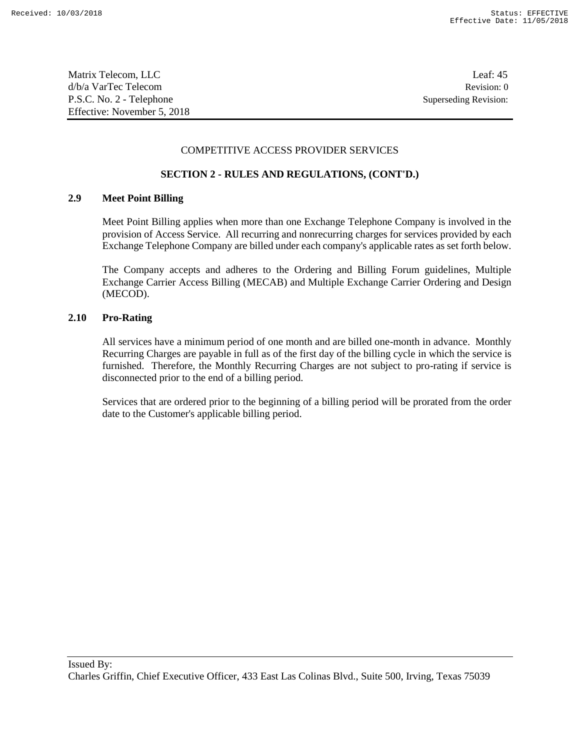Matrix Telecom, LLC Leaf: 45 d/b/a VarTec Telecom Revision: 0 P.S.C. No. 2 - Telephone Superseding Revision: Effective: November 5, 2018

#### COMPETITIVE ACCESS PROVIDER SERVICES

### **SECTION 2 - RULES AND REGULATIONS, (CONT'D.)**

### **2.9 Meet Point Billing**

Meet Point Billing applies when more than one Exchange Telephone Company is involved in the provision of Access Service. All recurring and nonrecurring charges for services provided by each Exchange Telephone Company are billed under each company's applicable rates as set forth below.

The Company accepts and adheres to the Ordering and Billing Forum guidelines, Multiple Exchange Carrier Access Billing (MECAB) and Multiple Exchange Carrier Ordering and Design (MECOD).

### **2.10 Pro-Rating**

All services have a minimum period of one month and are billed one-month in advance. Monthly Recurring Charges are payable in full as of the first day of the billing cycle in which the service is furnished. Therefore, the Monthly Recurring Charges are not subject to pro-rating if service is disconnected prior to the end of a billing period.

Services that are ordered prior to the beginning of a billing period will be prorated from the order date to the Customer's applicable billing period.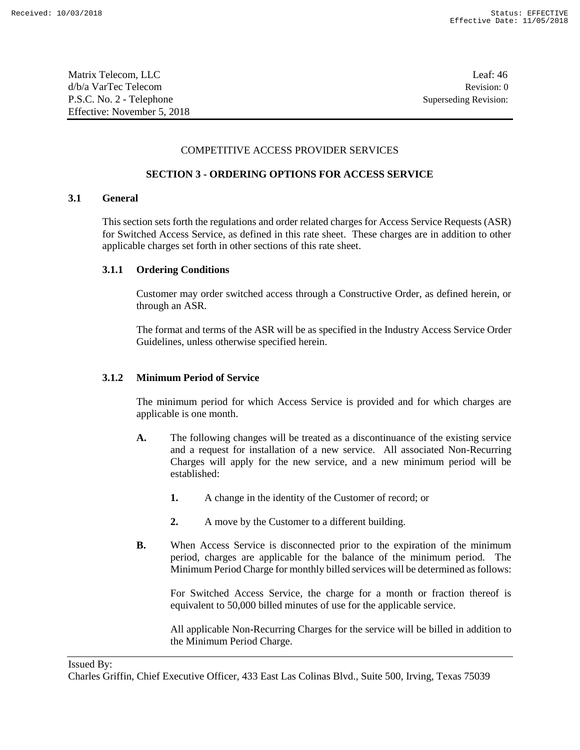| Matrix Telecom, LLC         | Leaf: $46$            |
|-----------------------------|-----------------------|
| d/b/a VarTec Telecom        | Revision: 0           |
| P.S.C. No. 2 - Telephone    | Superseding Revision: |
| Effective: November 5, 2018 |                       |

#### COMPETITIVE ACCESS PROVIDER SERVICES

### **SECTION 3 - ORDERING OPTIONS FOR ACCESS SERVICE**

### **3.1 General**

This section sets forth the regulations and order related charges for Access Service Requests (ASR) for Switched Access Service, as defined in this rate sheet. These charges are in addition to other applicable charges set forth in other sections of this rate sheet.

#### **3.1.1 Ordering Conditions**

Customer may order switched access through a Constructive Order, as defined herein, or through an ASR.

The format and terms of the ASR will be as specified in the Industry Access Service Order Guidelines, unless otherwise specified herein.

### **3.1.2 Minimum Period of Service**

The minimum period for which Access Service is provided and for which charges are applicable is one month.

- **A.** The following changes will be treated as a discontinuance of the existing service and a request for installation of a new service. All associated Non-Recurring Charges will apply for the new service, and a new minimum period will be established:
	- **1.** A change in the identity of the Customer of record; or
	- **2.** A move by the Customer to a different building.
- **B.** When Access Service is disconnected prior to the expiration of the minimum period, charges are applicable for the balance of the minimum period. The Minimum Period Charge for monthly billed services will be determined as follows:

For Switched Access Service, the charge for a month or fraction thereof is equivalent to 50,000 billed minutes of use for the applicable service.

All applicable Non-Recurring Charges for the service will be billed in addition to the Minimum Period Charge.

#### Issued By:

Charles Griffin, Chief Executive Officer, 433 East Las Colinas Blvd., Suite 500, Irving, Texas 75039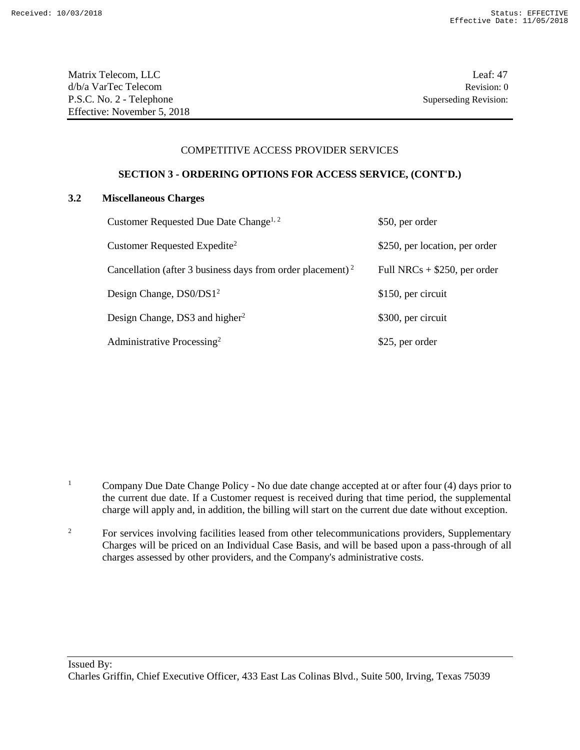#### COMPETITIVE ACCESS PROVIDER SERVICES

### **SECTION 3 - ORDERING OPTIONS FOR ACCESS SERVICE, (CONT'D.)**

### **3.2 Miscellaneous Charges**

| Customer Requested Due Date Change <sup>1, 2</sup>                     | \$50, per order                |
|------------------------------------------------------------------------|--------------------------------|
| Customer Requested Expedite <sup>2</sup>                               | \$250, per location, per order |
| Cancellation (after 3 business days from order placement) <sup>2</sup> | Full NRCs $+$ \$250, per order |
| Design Change, $DS0/DS12$                                              | \$150, per circuit             |
| Design Change, DS3 and higher <sup>2</sup>                             | \$300, per circuit             |
| Administrative Processing <sup>2</sup>                                 | \$25, per order                |

<sup>1</sup> Company Due Date Change Policy - No due date change accepted at or after four (4) days prior to the current due date. If a Customer request is received during that time period, the supplemental charge will apply and, in addition, the billing will start on the current due date without exception.

<sup>2</sup> For services involving facilities leased from other telecommunications providers, Supplementary Charges will be priced on an Individual Case Basis, and will be based upon a pass-through of all charges assessed by other providers, and the Company's administrative costs.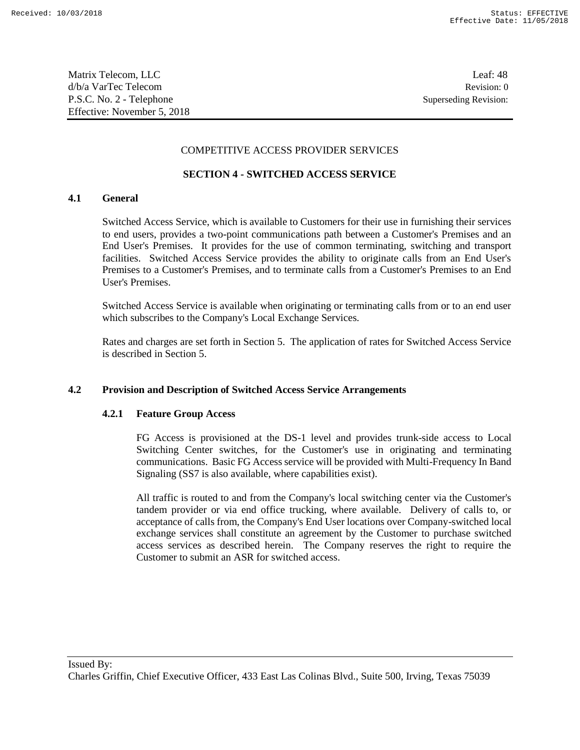Matrix Telecom, LLC Leaf: 48 d/b/a VarTec Telecom Revision: 0 P.S.C. No. 2 - Telephone Superseding Revision: Effective: November 5, 2018

### COMPETITIVE ACCESS PROVIDER SERVICES

### **SECTION 4 - SWITCHED ACCESS SERVICE**

### **4.1 General**

Switched Access Service, which is available to Customers for their use in furnishing their services to end users, provides a two-point communications path between a Customer's Premises and an End User's Premises. It provides for the use of common terminating, switching and transport facilities. Switched Access Service provides the ability to originate calls from an End User's Premises to a Customer's Premises, and to terminate calls from a Customer's Premises to an End User's Premises.

Switched Access Service is available when originating or terminating calls from or to an end user which subscribes to the Company's Local Exchange Services.

Rates and charges are set forth in Section 5. The application of rates for Switched Access Service is described in Section 5.

### **4.2 Provision and Description of Switched Access Service Arrangements**

#### **4.2.1 Feature Group Access**

FG Access is provisioned at the DS-1 level and provides trunk-side access to Local Switching Center switches, for the Customer's use in originating and terminating communications. Basic FG Access service will be provided with Multi-Frequency In Band Signaling (SS7 is also available, where capabilities exist).

All traffic is routed to and from the Company's local switching center via the Customer's tandem provider or via end office trucking, where available. Delivery of calls to, or acceptance of calls from, the Company's End User locations over Company-switched local exchange services shall constitute an agreement by the Customer to purchase switched access services as described herein. The Company reserves the right to require the Customer to submit an ASR for switched access.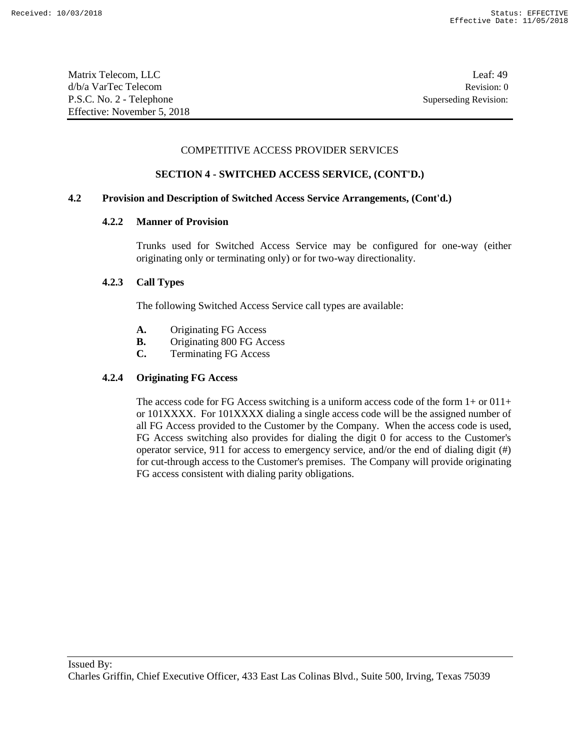| Matrix Telecom, LLC         | Leaf: $49$            |
|-----------------------------|-----------------------|
| d/b/a VarTec Telecom        | Revision: 0           |
| P.S.C. No. 2 - Telephone    | Superseding Revision: |
| Effective: November 5, 2018 |                       |

#### COMPETITIVE ACCESS PROVIDER SERVICES

## **SECTION 4 - SWITCHED ACCESS SERVICE, (CONT'D.)**

### **4.2 Provision and Description of Switched Access Service Arrangements, (Cont'd.)**

### **4.2.2 Manner of Provision**

Trunks used for Switched Access Service may be configured for one-way (either originating only or terminating only) or for two-way directionality.

#### **4.2.3 Call Types**

The following Switched Access Service call types are available:

- **A.** Originating FG Access
- **B.** Originating 800 FG Access
- **C.** Terminating FG Access

#### **4.2.4 Originating FG Access**

The access code for FG Access switching is a uniform access code of the form 1+ or 011+ or 101XXXX. For 101XXXX dialing a single access code will be the assigned number of all FG Access provided to the Customer by the Company. When the access code is used, FG Access switching also provides for dialing the digit 0 for access to the Customer's operator service, 911 for access to emergency service, and/or the end of dialing digit (#) for cut-through access to the Customer's premises. The Company will provide originating FG access consistent with dialing parity obligations.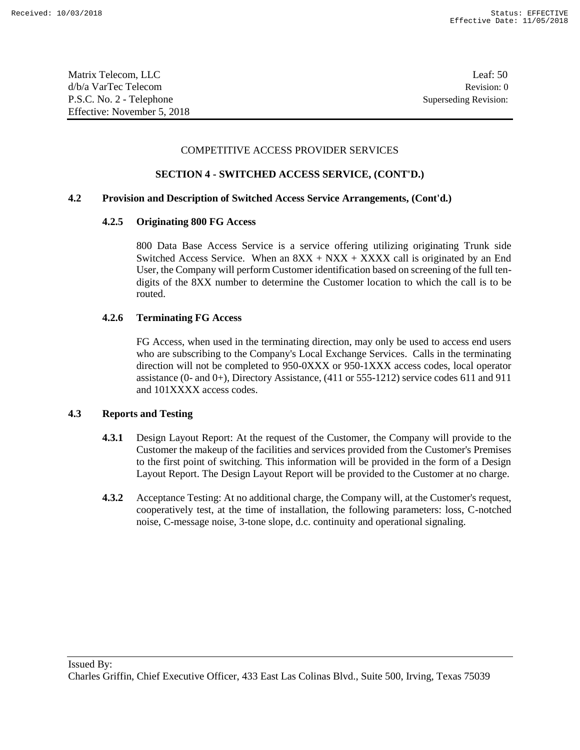Matrix Telecom, LLC Leaf: 50 d/b/a VarTec Telecom Revision: 0 P.S.C. No. 2 - Telephone Superseding Revision: Effective: November 5, 2018

#### COMPETITIVE ACCESS PROVIDER SERVICES

## **SECTION 4 - SWITCHED ACCESS SERVICE, (CONT'D.)**

### **4.2 Provision and Description of Switched Access Service Arrangements, (Cont'd.)**

### **4.2.5 Originating 800 FG Access**

800 Data Base Access Service is a service offering utilizing originating Trunk side Switched Access Service. When an  $8XX + NXX + XXXX$  call is originated by an End User, the Company will perform Customer identification based on screening of the full tendigits of the 8XX number to determine the Customer location to which the call is to be routed.

## **4.2.6 Terminating FG Access**

FG Access, when used in the terminating direction, may only be used to access end users who are subscribing to the Company's Local Exchange Services. Calls in the terminating direction will not be completed to 950-0XXX or 950-1XXX access codes, local operator assistance (0- and 0+), Directory Assistance,  $(411 \text{ or } 555-1212)$  service codes 611 and 911 and 101XXXX access codes.

### **4.3 Reports and Testing**

- **4.3.1** Design Layout Report: At the request of the Customer, the Company will provide to the Customer the makeup of the facilities and services provided from the Customer's Premises to the first point of switching. This information will be provided in the form of a Design Layout Report. The Design Layout Report will be provided to the Customer at no charge.
- **4.3.2** Acceptance Testing: At no additional charge, the Company will, at the Customer's request, cooperatively test, at the time of installation, the following parameters: loss, C-notched noise, C-message noise, 3-tone slope, d.c. continuity and operational signaling.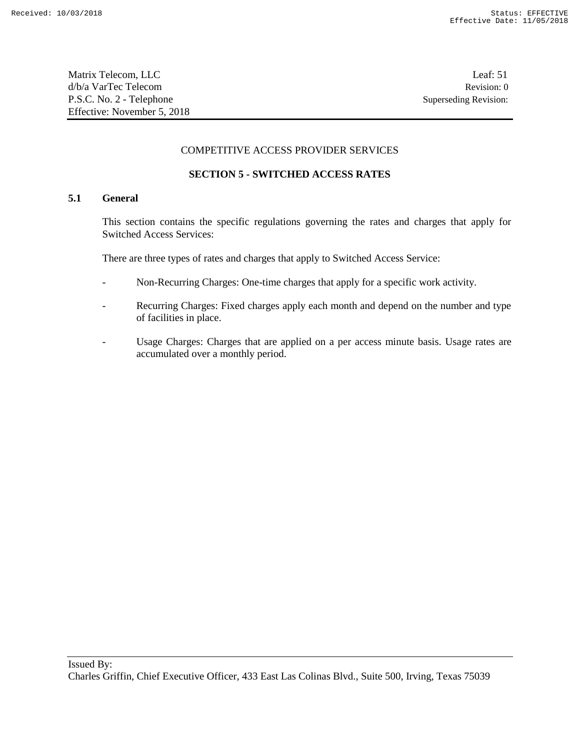Matrix Telecom, LLC Leaf: 51 d/b/a VarTec Telecom Revision: 0 P.S.C. No. 2 - Telephone Superseding Revision: Effective: November 5, 2018

#### COMPETITIVE ACCESS PROVIDER SERVICES

## **SECTION 5 - SWITCHED ACCESS RATES**

## **5.1 General**

This section contains the specific regulations governing the rates and charges that apply for Switched Access Services:

There are three types of rates and charges that apply to Switched Access Service:

- Non-Recurring Charges: One-time charges that apply for a specific work activity.
- Recurring Charges: Fixed charges apply each month and depend on the number and type of facilities in place.
- Usage Charges: Charges that are applied on a per access minute basis. Usage rates are accumulated over a monthly period.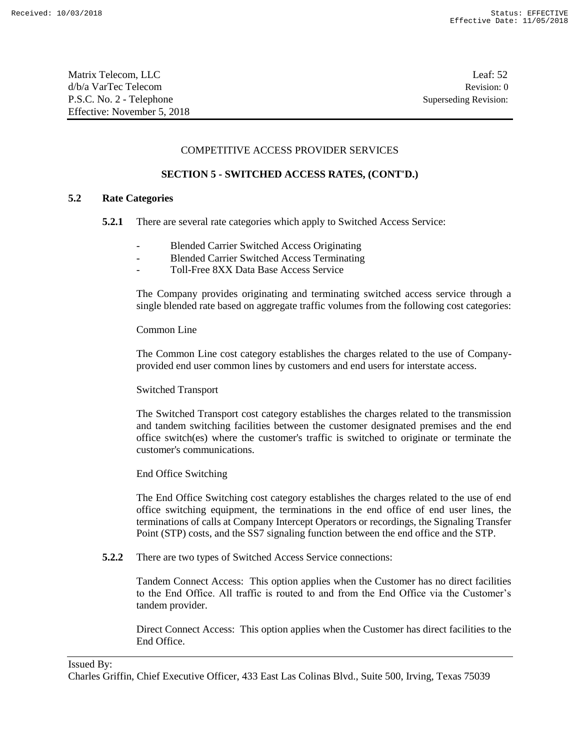| Matrix Telecom, LLC         | Leaf: $52$            |
|-----------------------------|-----------------------|
| d/b/a VarTec Telecom        | Revision: 0           |
| P.S.C. No. 2 - Telephone    | Superseding Revision: |
| Effective: November 5, 2018 |                       |

#### COMPETITIVE ACCESS PROVIDER SERVICES

### **SECTION 5 - SWITCHED ACCESS RATES, (CONT'D.)**

### **5.2 Rate Categories**

- **5.2.1** There are several rate categories which apply to Switched Access Service:
	- Blended Carrier Switched Access Originating
	- Blended Carrier Switched Access Terminating
	- Toll-Free 8XX Data Base Access Service

The Company provides originating and terminating switched access service through a single blended rate based on aggregate traffic volumes from the following cost categories:

#### Common Line

The Common Line cost category establishes the charges related to the use of Companyprovided end user common lines by customers and end users for interstate access.

#### Switched Transport

The Switched Transport cost category establishes the charges related to the transmission and tandem switching facilities between the customer designated premises and the end office switch(es) where the customer's traffic is switched to originate or terminate the customer's communications.

#### End Office Switching

The End Office Switching cost category establishes the charges related to the use of end office switching equipment, the terminations in the end office of end user lines, the terminations of calls at Company Intercept Operators or recordings, the Signaling Transfer Point (STP) costs, and the SS7 signaling function between the end office and the STP.

**5.2.2** There are two types of Switched Access Service connections:

Tandem Connect Access: This option applies when the Customer has no direct facilities to the End Office. All traffic is routed to and from the End Office via the Customer's tandem provider.

Direct Connect Access: This option applies when the Customer has direct facilities to the End Office.

#### Issued By:

Charles Griffin, Chief Executive Officer, 433 East Las Colinas Blvd., Suite 500, Irving, Texas 75039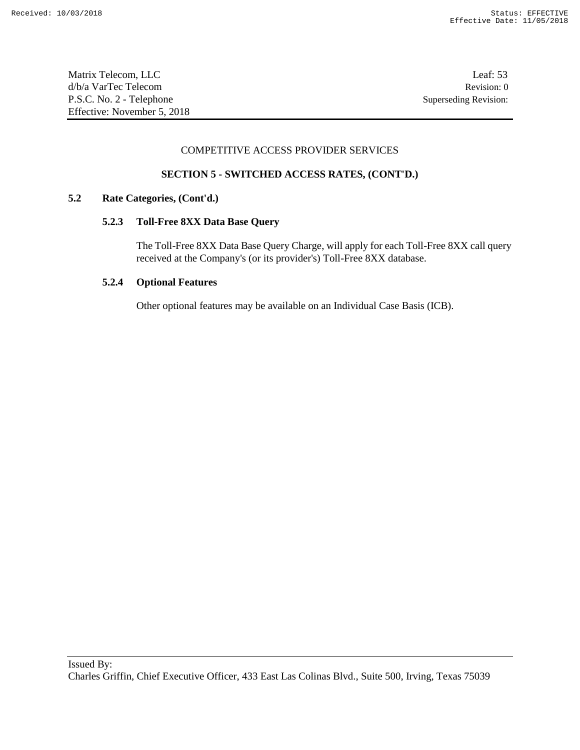Matrix Telecom, LLC Leaf: 53 d/b/a VarTec Telecom Revision: 0 P.S.C. No. 2 - Telephone Superseding Revision: Effective: November 5, 2018

### COMPETITIVE ACCESS PROVIDER SERVICES

## **SECTION 5 - SWITCHED ACCESS RATES, (CONT'D.)**

### **5.2 Rate Categories, (Cont'd.)**

### **5.2.3 Toll-Free 8XX Data Base Query**

The Toll-Free 8XX Data Base Query Charge, will apply for each Toll-Free 8XX call query received at the Company's (or its provider's) Toll-Free 8XX database.

### **5.2.4 Optional Features**

Other optional features may be available on an Individual Case Basis (ICB).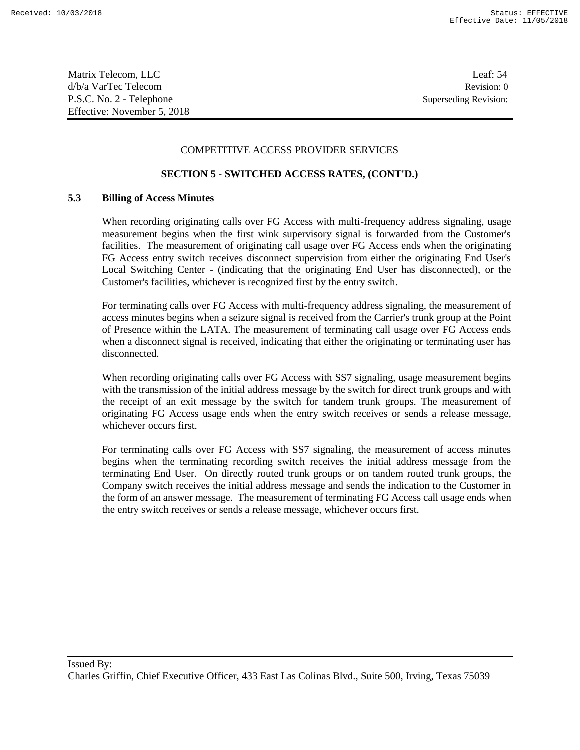Matrix Telecom, LLC Leaf: 54 d/b/a VarTec Telecom Revision: 0 P.S.C. No. 2 - Telephone Superseding Revision: Effective: November 5, 2018

#### COMPETITIVE ACCESS PROVIDER SERVICES

### **SECTION 5 - SWITCHED ACCESS RATES, (CONT'D.)**

### **5.3 Billing of Access Minutes**

When recording originating calls over FG Access with multi-frequency address signaling, usage measurement begins when the first wink supervisory signal is forwarded from the Customer's facilities. The measurement of originating call usage over FG Access ends when the originating FG Access entry switch receives disconnect supervision from either the originating End User's Local Switching Center - (indicating that the originating End User has disconnected), or the Customer's facilities, whichever is recognized first by the entry switch.

For terminating calls over FG Access with multi-frequency address signaling, the measurement of access minutes begins when a seizure signal is received from the Carrier's trunk group at the Point of Presence within the LATA. The measurement of terminating call usage over FG Access ends when a disconnect signal is received, indicating that either the originating or terminating user has disconnected.

When recording originating calls over FG Access with SS7 signaling, usage measurement begins with the transmission of the initial address message by the switch for direct trunk groups and with the receipt of an exit message by the switch for tandem trunk groups. The measurement of originating FG Access usage ends when the entry switch receives or sends a release message, whichever occurs first.

For terminating calls over FG Access with SS7 signaling, the measurement of access minutes begins when the terminating recording switch receives the initial address message from the terminating End User. On directly routed trunk groups or on tandem routed trunk groups, the Company switch receives the initial address message and sends the indication to the Customer in the form of an answer message. The measurement of terminating FG Access call usage ends when the entry switch receives or sends a release message, whichever occurs first.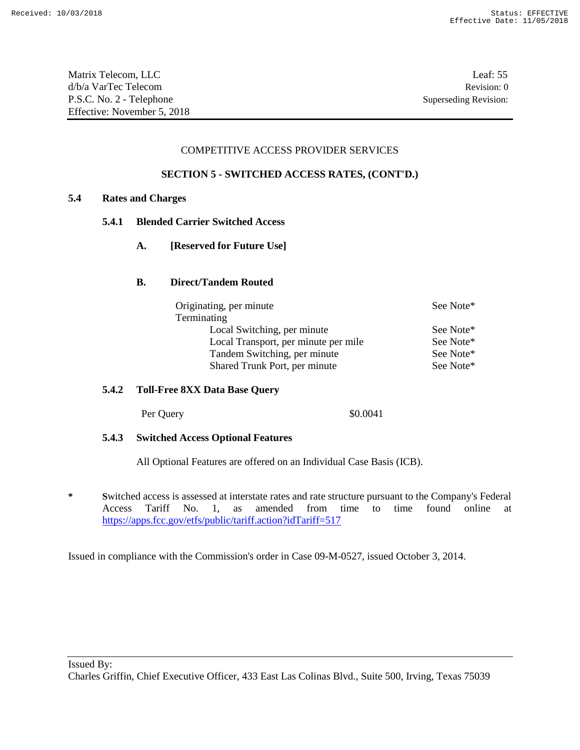Matrix Telecom, LLC Leaf: 55 d/b/a VarTec Telecom Revision: 0 P.S.C. No. 2 - Telephone Superseding Revision: Effective: November 5, 2018

### COMPETITIVE ACCESS PROVIDER SERVICES

### **SECTION 5 - SWITCHED ACCESS RATES, (CONT'D.)**

#### **5.4 Rates and Charges**

- **5.4.1 Blended Carrier Switched Access**
	- **A. [Reserved for Future Use]**

### **B. Direct/Tandem Routed**

| Originating, per minute              | See Note* |
|--------------------------------------|-----------|
| Terminating                          |           |
| Local Switching, per minute          | See Note* |
| Local Transport, per minute per mile | See Note* |
| Tandem Switching, per minute         | See Note* |
| Shared Trunk Port, per minute        | See Note* |

## **5.4.2 Toll-Free 8XX Data Base Query**

Per Query  $$0.0041$ 

### **5.4.3 Switched Access Optional Features**

All Optional Features are offered on an Individual Case Basis (ICB).

**\* S**witched access is assessed at interstate rates and rate structure pursuant to the Company's Federal Access Tariff No. 1, as amended from time to time found online at https://apps.fcc.gov/etfs/public/tariff.action?idTariff=517

Issued in compliance with the Commission's order in Case 09-M-0527, issued October 3, 2014.